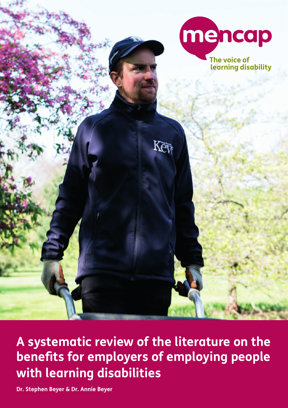

**A systematic review of the literature on the benefits for employers of employing people with learning disabilities**

**Dr. Stephen Beyer & Dr. Annie Beyer**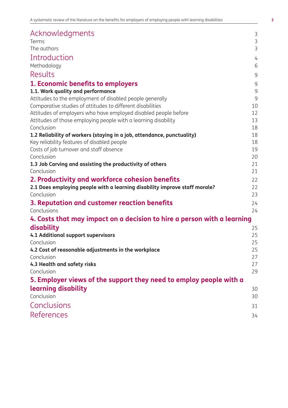| Acknowledgments                                                            | 3              |
|----------------------------------------------------------------------------|----------------|
| Terms                                                                      | $\overline{3}$ |
| The authors                                                                | $\overline{3}$ |
| Introduction                                                               | 4              |
| Methodology                                                                | 6              |
| Results                                                                    | 9              |
| 1. Economic benefits to employers                                          | 9              |
| 1.1. Work quality and performance                                          | 9              |
| Attitudes to the employment of disabled people generally                   | 9              |
| Comparative studies of attitudes to different disabilities                 | 10             |
| Attitudes of employers who have employed disabled people before            | 12             |
| Attitudes of those employing people with a learning disability             | 13             |
| Conclusion                                                                 | 18             |
| 1.2 Reliability of workers (staying in a job, attendance, punctuality)     | 18             |
| Key reliability features of disabled people                                | 18             |
| Costs of job turnover and staff absence<br>Conclusion                      | 19             |
|                                                                            | 20<br>21       |
| 1.3 Job Carving and assisting the productivity of others<br>Conclusion     | 21             |
| 2. Productivity and workforce cohesion benefits                            |                |
| 2.1 Does employing people with a learning disability improve staff morale? | 22<br>22       |
| Conclusion                                                                 | 23             |
| 3. Reputation and customer reaction benefits                               | 24             |
| Conclusions                                                                | 24             |
| 4. Costs that may impact on a decision to hire a person with a learning    |                |
| disability                                                                 | 25             |
| 4.1 Additional support supervisors                                         | 25             |
| Conclusion                                                                 | 25             |
| 4.2 Cost of reasonable adjustments in the workplace                        | 25             |
| Conclusion                                                                 | 27             |
| 4.3 Health and safety risks                                                | 27             |
| Conclusion                                                                 | 29             |
| 5. Employer views of the support they need to employ people with a         |                |
| learning disability                                                        | 30             |
| Conclusion                                                                 | 30             |
| Conclusions                                                                | 31             |
| <b>References</b>                                                          | 34             |
|                                                                            |                |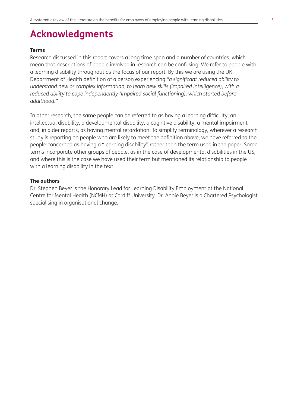# **Acknowledgments**

#### **Terms**

Research discussed in this report covers a long time span and a number of countries, which mean that descriptions of people involved in research can be confusing. We refer to people with a learning disability throughout as the focus of our report. By this we are using the UK Department of Health definition of a person experiencing *"a significant reduced ability to understand new or complex information, to learn new skills (impaired intelligence), with a reduced ability to cope independently (impaired social functioning), which started before adulthood."*

In other research, the same people can be referred to as having a learning difficulty, an intellectual disability, a developmental disability, a cognitive disability, a mental impairment and, in older reports, as having mental retardation. To simplify terminology, wherever a research study is reporting on people who are likely to meet the definition above, we have referred to the people concerned as having a "learning disability" rather than the term used in the paper. Some terms incorporate other groups of people, as in the case of developmental disabilities in the US, and where this is the case we have used their term but mentioned its relationship to people with a learning disability in the text.

#### **The authors**

Dr. Stephen Beyer is the Honorary Lead for Learning Disability Employment at the National Centre for Mental Health (NCMH) at Cardiff University. Dr. Annie Beyer is a Chartered Psychologist specialising in organisational change.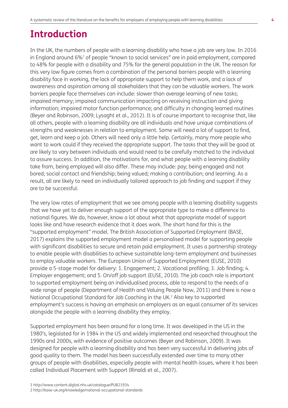# **Introduction**

In the UK, the numbers of people with a learning disability who have a job are very low. In 2016 in England around 6%1 of people "known to social services" are in paid employment, compared to 48% for people with a disability and 75% for the general population in the UK. The reason for this very low figure comes from a combination of the personal barriers people with a learning disability face in working, the lack of appropriate support to help them work, and a lack of awareness and aspiration among all stakeholders that they can be valuable workers. The work barriers people face themselves can include: slower than average learning of new tasks; impaired memory; impaired communication impacting on receiving instruction and giving information; impaired motor function performance; and difficulty in changing learned routines (Beyer and Robinson, 2009; Lysaght et al., 2012). It is of course important to recognise that, like all others, people with a learning disability are all individuals and have unique combinations of strengths and weaknesses in relation to employment. Some will need a lot of support to find, get, learn and keep a job. Others will need only a little help. Certainly, many more people who want to work could if they received the appropriate support. The tasks that they will be good at are likely to vary between individuals and would need to be carefully matched to the individual to assure success. In addition, the motivations for, and what people with a learning disability take from, being employed will also differ. These may include: pay; being engaged and not bored; social contact and friendship; being valued; making a contribution; and learning. As a result, all are likely to need an individually tailored approach to job finding and support if they are to be successful.

The very low rates of employment that we see among people with a learning disability suggests that we have yet to deliver enough support of the appropriate type to make a difference to national figures. We do, however, know a lot about what that appropriate model of support looks like and have research evidence that it does work. The short hand for this is the "supported employment" model. The British Association of Supported Employment (BASE, 2017) explains the supported employment model a personalised model for supporting people with significant disabilities to secure and retain paid employment. It uses a partnership strategy to enable people with disabilities to achieve sustainable long-term employment and businesses to employ valuable workers. The European Union of Supported Employment (EUSE, 2010) provide a 5-stage model for delivery: 1. Engagement; 2. Vocational profiling; 3. Job finding; 4. Employer engagement; and 5. On/off job support (EUSE, 2010). The job coach role is important to supported employment being an individualised process, able to respond to the needs of a wide range of people (Department of Health and Valuing People Now, 2011) and there is now a National Occupational Standard for Job Coaching in the UK.2 Also key to supported employment's success is having an emphasis on employers as an equal consumer of its services alongside the people with a learning disability they employ.

Supported employment has been around for a long time. It was developed in the US in the 1980's, legislated for in 1984 in the US and widely implemented and researched throughout the 1990s and 2000s, with evidence of positive outcomes (Beyer and Robinson, 2009). It was designed for people with a learning disability and has been very successful in delivering jobs of good quality to them. The model has been successfully extended over time to many other groups of people with disabilities, especially people with mental health issues, where it has been called Individual Placement with Support (Rinaldi et al., 2007).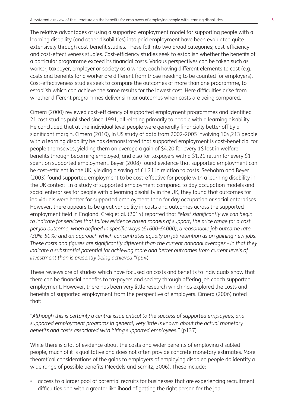The relative advantages of using a supported employment model for supporting people with a learning disability (and other disabilities) into paid employment have been evaluated quite extensively through cost-benefit studies. These fall into two broad categories; cost-efficiency and cost-effectiveness studies. Cost-efficiency studies seek to establish whether the benefits of a particular programme exceed its financial costs. Various perspectives can be taken such as worker, taxpayer, employer or society as a whole, each having different elements to cost (e.g. costs and benefits for a worker are different from those needing to be counted for employers). Cost-effectiveness studies seek to compare the outcomes of more than one programme, to establish which can achieve the same results for the lowest cost. Here difficulties arise from whether different programmes deliver similar outcomes when costs are being compared.

Cimera (2000) reviewed cost-efficiency of supported employment programmes and identified 21 cost studies published since 1991, all relating primarily to people with a learning disability. He concluded that at the individual level people were generally financially better off by a significant margin. Cimera (2010), in US study of data from 2002-2005 involving 104,213 people with a learning disability he has demonstrated that supported employment is cost-beneficial for people themselves, yielding them on average a gain of \$4.20 for every 1\$ lost in welfare benefits through becoming employed, and also for taxpayers with a \$1.21 return for every \$1 spent on supported employment. Beyer (2008) found evidence that supported employment can be cost-efficient in the UK, yielding a saving of £1.21 in relation to costs. Seebohm and Beyer (2003) found supported employment to be cost-effective for people with a learning disability in the UK context. In a study of supported employment compared to day occupation models and social enterprises for people with a learning disability in the UK, they found that outcomes for individuals were better for supported employment than for day occupation or social enterprises. However, there appears to be great variability in costs and outcomes across the supported employment field in England. Greig et al. (2014) reported that *"Most significantly we can begin to indicate for services that follow evidence based models of support, the price range for a cost per job outcome, when defined in specific ways (£1600-£4000), a reasonable job outcome rate (30%-50%) and an approach which concentrates equally on job retention as on gaining new jobs. These costs and figures are significantly different than the current national averages - in that they indicate a substantial potential for achieving more and better outcomes from current levels of investment than is presently being achieved."*(p94)

These reviews are of studies which have focused on costs and benefits to individuals show that there can be financial benefits to taxpayers and society through offering job coach supported employment. However, there has been very little research which has explored the costs and benefits of supported employment from the perspective of employers. Cimera (2006) noted that:

*"Although this is certainly a central issue critical to the success of supported employees, and supported employment programs in general, very little is known about the actual monetary benefits and costs associated with hiring supported employees."* (p137)

While there is a lot of evidence about the costs and wider benefits of employing disabled people, much of it is qualitative and does not often provide concrete monetary estimates. More theoretical considerations of the gains to employers of employing disabled people do identify a wide range of possible benefits (Needels and Scmitz, 2006). These include:

• access to a larger pool of potential recruits for businesses that are experiencing recruitment difficulties and with a greater likelihood of getting the right person for the job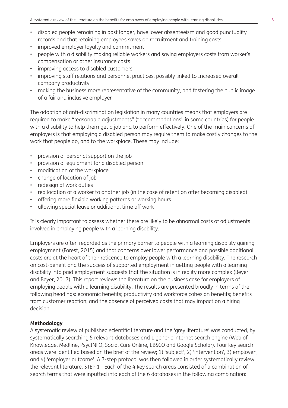- disabled people remaining in post longer, have lower absenteeism and good punctuality records and that retaining employees saves on recruitment and training costs
- improved employer loyalty and commitment
- people with a disability making reliable workers and saving employers costs from worker's compensation or other insurance costs
- improving access to disabled customers
- improving staff relations and personnel practices, possibly linked to Increased overall company productivity
- making the business more representative of the community, and fostering the public image of a fair and inclusive employer

The adoption of anti-discrimination legislation in many countries means that employers are required to make "reasonable adjustments" ("accommodations" in some countries) for people with a disability to help them get a job and to perform effectively. One of the main concerns of employers is that employing a disabled person may require them to make costly changes to the work that people do, and to the workplace. These may include:

- provision of personal support on the job
- provision of equipment for a disabled person
- modification of the workplace
- change of location of job
- redesign of work duties
- reallocation of a worker to another job (in the case of retention after becoming disabled)
- offering more flexible working patterns or working hours
- allowing special leave or additional time off work

It is clearly important to assess whether there are likely to be abnormal costs of adjustments involved in employing people with a learning disability.

Employers are often regarded as the primary barrier to people with a learning disability gaining employment (Forest, 2015) and that concerns over lower performance and possible additional costs are at the heart of their reticence to employ people with a learning disability. The research on cost-benefit and the success of supported employment in getting people with a learning disability into paid employment suggests that the situation is in reality more complex (Beyer and Beyer, 2017). This report reviews the literature on the business case for employers of employing people with a learning disability. The results are presented broadly in terms of the following headings: economic benefits; productivity and workforce cohesion benefits; benefits from customer reaction; and the absence of perceived costs that may impact on a hiring decision.

#### **Methodology**

A systematic review of published scientific literature and the 'grey literature' was conducted, by systematically searching 5 relevant databases and 1 generic internet search engine (Web of Knowledge, Medline, PsycINFO, Social Care Online, EBSCO and Google Scholar). Four key search areas were identified based on the brief of the review; 1) 'subject', 2) 'intervention', 3) employer', and 4) 'employer outcome'. A 7-step protocol was then followed in order systematically review the relevant literature. STEP 1 - Each of the 4 key search areas consisted of a combination of search terms that were inputted into each of the 6 databases in the following combination: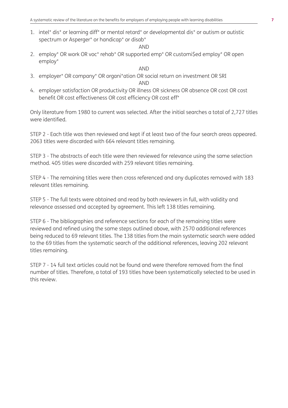1. intel\* dis\* or learning diff\* or mental retard\* or developmental dis\* or autism or autistic spectrum or Asperger\* or handicap\* or disab\*

AND

2. employ\* OR work OR voc\* rehab\* OR supported emp\* OR customi\$ed employ\* OR open employ\*

#### AND

- 3. employer\* OR company\* OR organi\*ation OR social return on investment OR SRI AND
- 4. employer satisfaction OR productivity OR illness OR sickness OR absence OR cost OR cost benefit OR cost effectiveness OR cost efficiency OR cost eff\*

Only literature from 1980 to current was selected. After the initial searches a total of 2,727 titles were identified.

STEP 2 - Each title was then reviewed and kept if at least two of the four search areas appeared. 2063 titles were discarded with 664 relevant titles remaining.

STEP 3 - The abstracts of each title were then reviewed for relevance using the same selection method. 405 titles were discarded with 259 relevant titles remaining.

STEP 4 - The remaining titles were then cross referenced and any duplicates removed with 183 relevant titles remaining.

STEP 5 - The full texts were obtained and read by both reviewers in full, with validity and relevance assessed and accepted by agreement. This left 138 titles remaining.

STEP 6 - The bibliographies and reference sections for each of the remaining titles were reviewed and refined using the same steps outlined above, with 2570 additional references being reduced to 69 relevant titles. The 138 titles from the main systematic search were added to the 69 titles from the systematic search of the additional references, leaving 202 relevant titles remaining.

STEP 7 - 14 full text articles could not be found and were therefore removed from the final number of titles. Therefore, a total of 193 titles have been systematically selected to be used in this review.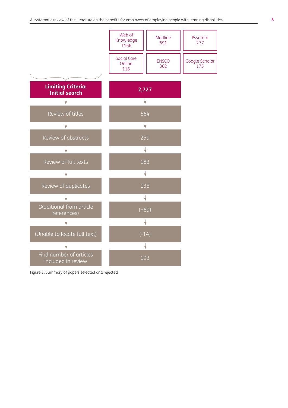

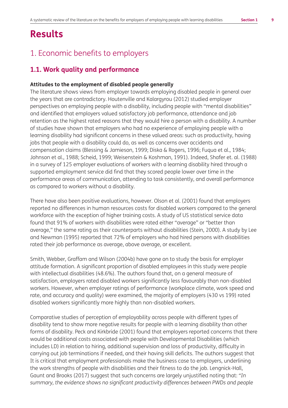# **Results**

## 1. Economic benefits to employers

### **1.1. Work quality and performance**

#### **Attitudes to the employment of disabled people generally**

The literature shows views from employer towards employing disabled people in general over the years that are contradictory. Houtenville and Kalargyrou (2012) studied employer perspectives on employing people with a disability, including people with "mental disabilities" and identified that employers valued satisfactory job performance, attendance and job retention as the highest rated reasons that they would hire a person with a disability. A number of studies have shown that employers who had no experience of employing people with a learning disability had significant concerns in these valued areas: such as productivity, having jobs that people with a disability could do, as well as concerns over accidents and compensation claims (Blessing & Jamieson, 1999; Diska & Rogers, 1996; Fuqua et al., 1984; Johnson et al., 1988; Scheid, 1999; Weisenstein & Koshman, 1991). Indeed, Shafer et. al. (1988) in a survey of 125 employer evaluations of workers with a learning disability hired through a supported employment service did find that they scored people lower over time in the performance areas of communication, attending to task consistently, and overall performance as compared to workers without a disability.

There have also been positive evaluations, however. Olson et al. (2001) found that employers reported no differences in human resources costs for disabled workers compared to the general workforce with the exception of higher training costs. A study of US statistical service data found that 91% of workers with disabilities were rated either "average" or "better than average," the same rating as their counterparts without disabilities (Stein, 2000). A study by Lee and Newman (1995) reported that 72% of employers who had hired persons with disabilities rated their job performance as average, above average, or excellent.

Smith, Webber, Graffam and Wilson (2004b) have gone on to study the basis for employer attitude formation. A significant proportion of disabled employees in this study were people with intellectual disabilities (48.6%). The authors found that, on a general measure of satisfaction, employers rated disabled workers significantly less favourably than non-disabled workers. However, when employer ratings of performance (workplace climate, work speed and rate, and accuracy and quality) were examined, the majority of employers (430 vs 199) rated disabled workers significantly more highly than non-disabled workers.

Comparative studies of perception of employability across people with different types of disability tend to show more negative results for people with a learning disability than other forms of disability. Peck and Kirkbride (2001) found that employers reported concerns that there would be additional costs associated with people with Developmental Disabilities (which includes LD) in relation to hiring, additional supervision and loss of productivity, difficulty in carrying out job terminations if needed, and their having skill deficits. The authors suggest that It is critical that employment professionals make the business case to employers, underlining the work strengths of people with disabilities and their fitness to do the job. Lengnick-Hall, Gaunt and Brooks (2017) suggest that such concerns are largely unjustified noting that: *"In summary, the evidence shows no significant productivity differences between PWDs and people*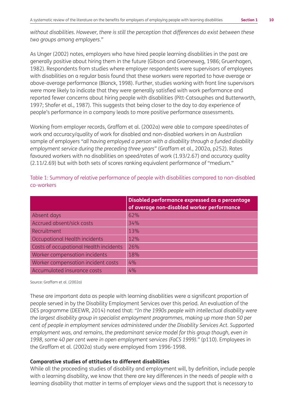*without disabilities. However, there is still the perception that differences do exist between these two groups among employers."* 

As Unger (2002) notes, employers who have hired people learning disabilities in the past are generally positive about hiring them in the future (Gibson and Groeneweg, 1986; Gruenhagen, 1982). Respondents from studies where employer respondents were supervisors of employees with disabilities on a regular basis found that these workers were reported to have average or above-average performance (Blanck, 1998). Further, studies working with front line supervisors were more likely to indicate that they were generally satisfied with work performance and reported fewer concerns about hiring people with disabilities (Pitt-Catsouphes and Butterworth, 1997; Shafer et al., 1987). This suggests that being closer to the day to day experience of people's performance in a company leads to more positive performance assessments.

Working from employer records, Graffam et al. (2002a) were able to compare speed/rates of work and accuracy/quality of work for disabled and non-disabled workers in an Australian sample of employers *"all having employed a person with a disability through a funded disability employment service during the preceding three years"* (Graffam et al., 2002a, p252). Rates favoured workers with no disabilities on speed/rates of work (1.93/2.67) and accuracy quality (2.11/2.69) but with both sets of scores ranking equivalent performance of "medium."

|                                        | Disabled performance expressed as a percentage<br>of average non-disabled worker performance |
|----------------------------------------|----------------------------------------------------------------------------------------------|
| Absent days                            | 62%                                                                                          |
| Accrued absent/sick costs              | 34%                                                                                          |
| Recruitment                            | 13%                                                                                          |
| Occupational Health incidents          | 12%                                                                                          |
| Costs of occupational Health incidents | 26%                                                                                          |
| Worker compensation incidents          | 18%                                                                                          |
| Worker compensation incident costs     | 4%                                                                                           |
| Accumulated insurance costs            | 4%                                                                                           |

Table 1: Summary of relative performance of people with disabilities compared to non-disabled co-workers

Source: Graffam et al. (2002a)

These are important data as people with learning disabilities were a significant proportion of people served in by the Disability Employment Services over this period. An evaluation of the DES programme (DEEWR, 2014) noted that: *"In the 1990s people with intellectual disability were the largest disability group in specialist employment programmes, making up more than 50 per cent of people in employment services administered under the Disability Services Act. Supported*  employment was, and remains, the predominant service model for this group though, even in *1998, some 40 per cent were in open employment services (FaCS 1999)."* (p110). Employees in the Graffam et al. (2002a) study were employed from 1996-1998.

#### **Comparative studies of attitudes to different disabilities**

While all the proceeding studies of disability and employment will, by definition, include people with a learning disability, we know that there are key differences in the needs of people with a learning disability that matter in terms of employer views and the support that is necessary to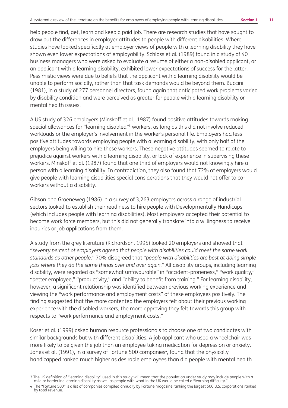help people find, get, learn and keep a paid job. There are research studies that have sought to draw out the differences in employer attitudes to people with different disabilities. Where studies have looked specifically at employer views of people with a learning disability they have shown even lower expectations of employability. Schloss et al. (1989) found in a study of 40 business managers who were asked to evaluate a resume of either a non-disabled applicant, or an applicant with a learning disability, exhibited lower expectations of success for the latter. Pessimistic views were due to beliefs that the applicant with a learning disability would be unable to perform socially, rather than that task demands would be beyond them. Buccini (1981), in a study of 277 personnel directors, found again that anticipated work problems varied by disability condition and were perceived as greater for people with a learning disability or mental health issues.

A US study of 326 employers (Minskoff et al., 1987) found positive attitudes towards making special allowances for "learning disabled"<sup>3</sup> workers, as long as this did not involve reduced workloads or the employer's involvement in the worker's personal life. Employers had less positive attitudes towards employing people with a learning disability, with only half of the employers being willing to hire these workers. These negative attitudes seemed to relate to prejudice against workers with a learning disability, or lack of experience in supervising these workers. Minskoff et al. (1987) found that one third of employers would not knowingly hire a person with a learning disability. In contradiction, they also found that 72% of employers would give people with learning disabilities special considerations that they would not offer to coworkers without a disability.

Gibson and Groeneweg (1986) in a survey of 3,263 employers across a range of industrial sectors looked to establish their readiness to hire people with Developmentally Handicaps (which includes people with learning disabilities). Most employers accepted their potential to become work force members, but this did not generally translate into a willingness to receive inquiries or job applications from them.

A study from the grey literature (Richardson, 1995) looked 20 employers and showed that *"seventy percent of employers agreed that people with disabilities could meet the same work standards as other people."* 70% disagreed that *"people with disabilities are best at doing simple jobs where they do the same things over and over again."* All disability groups, including learning disability, were regarded as "somewhat unfavourable" in "accident-proneness," "work quality," "better employee," "productivity," and "ability to benefit from training." For learning disability, however, a significant relationship was identified between previous working experience and viewing the "work performance and employment costs" of these employees positively. The finding suggested that the more contented the employers felt about their previous working experience with the disabled workers, the more approving they felt towards this group with respects to "work performance and employment costs."

Koser et al. (1999) asked human resource professionals to choose one of two candidates with similar backgrounds but with different disabilities. A job applicant who used a wheelchair was more likely to be given the job than an employee taking medication for depression or anxiety. Jones et al. (1991), in a survey of Fortune 500 companies<sup>4</sup>, found that the physically handicapped ranked much higher as desirable employees than did people with mental health

<sup>3</sup> The US definition of "learning disability" used in this study will mean that the population under study may include people with a mild or borderline learning disability as well as people with what in the UK would be called a "learning difficulty."

<sup>4</sup> The "Fortune 500" is a list of companies compiled annually by Fortune magazine ranking the largest 500 U.S. corporations ranked by total revenue.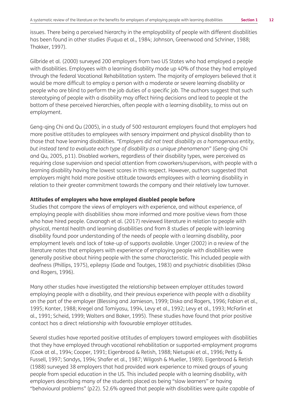issues. There being a perceived hierarchy in the employability of people with different disabilities has been found in other studies (Fuqua et al., 1984; Johnson, Greenwood and Schriner, 1988; Thakker, 1997).

Gilbride et al. (2000) surveyed 200 employers from two US States who had employed a people with disabilities. Employees with a learning disability made up 40% of those they had employed through the federal Vocational Rehabilitation system. The majority of employers believed that it would be more difficult to employ a person with a moderate or severe learning disability or people who are blind to perform the job duties of a specific job. The authors suggest that such stereotyping of people with a disability may affect hiring decisions and lead to people at the bottom of these perceived hierarchies, often people with a learning disability, to miss out on employment.

Geng-qing Chi and Qu (2005), in a study of 500 restaurant employers found that employers had more positive attitudes to employees with sensory impairment and physical disability than to those that have learning disabilities. *"Employers did not treat disability as a homogenous entity, but instead tend to evaluate each type of disability as a unique phenomenon"* (Geng-qing Chi and Qu, 2005, p11). Disabled workers, regardless of their disability types, were perceived as requiring close supervision and special attention from coworkers/supervisors, with people with a learning disability having the lowest scores in this respect. However, authors suggested that employers might hold more positive attitude towards employees with a learning disability in relation to their greater commitment towards the company and their relatively low turnover.

#### **Attitudes of employers who have employed disabled people before**

Studies that compare the views of employers with experience, and without experience, of employing people with disabilities show more informed and more positive views from those who have hired people. Cavanagh et al. (2017) reviewed literature in relation to people with physical, mental health and learning disabilities and from 8 studies of people with learning disability found poor understanding of the needs of people with a learning disability, poor employment levels and lack of take-up of supports available. Unger (2002) in a review of the literature notes that employers with experience of employing people with disabilities were generally positive about hiring people with the same characteristic. This included people with deafness (Phillips, 1975), epilepsy (Gade and Toutges, 1983) and psychiatric disabilities (Diksa and Rogers, 1996).

Many other studies have investigated the relationship between employer attitudes toward employing people with a disability, and their previous experience with people with a disability on the part of the employer (Blessing and Jamieson, 1999; Diska and Rogers, 1996; Fabian et al., 1995; Kanter, 1988; Kregel and Tomiyasu, 1994, Levy et al., 1992; Levy et al., 1993; McFarlin et al., 1991; Scheid, 1999; Walters and Baker, 1995). These studies have found that prior positive contact has a direct relationship with favourable employer attitudes.

Several studies have reported positive attitudes of employers toward employees with disabilities that they have employed through vocational rehabilitation or supported-employment programs (Cook at al., 1994; Cooper, 1991; Eigenbrood & Retish, 1988; Nietupski et al., 1996; Petty & Fussell, 1997; Sandys, 1994; Shafer et al., 1987; Wilgosh & Mueller, 1989). Eigenbrood & Retish (1988) surveyed 38 employers that had provided work experience to mixed groups of young people from special education in the US. This included people with a learning disability, with employers describing many of the students placed as being "slow learners" or having "behavioural problems" (p22). 52.6% agreed that people with disabilities were quite capable of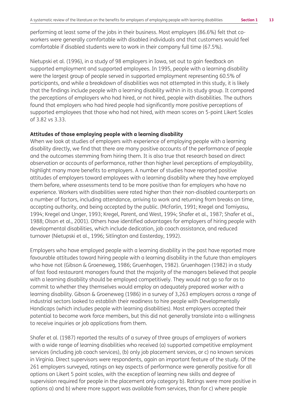performing at least some of the jobs in their business. Most employers (86.6%) felt that coworkers were generally comfortable with disabled individuals and that customers would feel comfortable if disabled students were to work in their company full time (67.5%).

Nietupski et al. (1996), in a study of 98 employers in Iowa, set out to gain feedback on supported employment and supported employees. In 1995, people with a learning disability were the largest group of people served in supported employment representing 60.5% of participants, and while a breakdown of disabilities was not attempted in this study, it is likely that the findings include people with a learning disability within in its study group. It compared the perceptions of employers who had hired, or not hired, people with disabilities. The authors found that employers who had hired people had significantly more positive perceptions of supported employees that those who had not hired, with mean scores on 5-point Likert Scales of 3.82 vs 3.33.

#### **Attitudes of those employing people with a learning disability**

When we look at studies of employers with experience of employing people with a learning disability directly, we find that there are many positive accounts of the performance of people and the outcomes stemming from hiring them. It is also true that research based on direct observation or accounts of performance, rather than higher level perceptions of employability, highlight many more benefits to employers. A number of studies have reported positive attitudes of employers toward employees with a learning disability where they have employed them before, where assessments tend to be more positive than for employers who have no experience. Workers with disabilities were rated higher than their non-disabled counterparts on a number of factors, including attendance, arriving to work and returning from breaks on time, accepting authority, and being accepted by the public. (McFarlin, 1991; Kregel and Tomiyasu, 1994; Kregel and Unger, 1993; Kregel, Parent, and West, 1994; Shafer et al., 1987; Shafer et al., 1988; Olson et al., 2001). Others have identified advantages for employers of hiring people with developmental disabilities, which include dedication, job coach assistance, and reduced turnover (Nietupski et al., 1996; Sitlington and Easterday, 1992).

Employers who have employed people with a learning disability in the past have reported more favourable attitudes toward hiring people with a learning disability in the future than employers who have not (Gibson & Groeneweg, 1986; Gruenhagen, 1982). Gruenhagen (1982) in a study of fast food restaurant managers found that the majority of the managers believed that people with a learning disability should be employed competitively. They would not go so far as to commit to whether they themselves would employ an adequately prepared worker with a learning disability. Gibson & Groeneweg (1986) in a survey of 3,263 employers across a range of industrial sectors looked to establish their readiness to hire people with Developmentally Handicaps (which includes people with learning disabilities). Most employers accepted their potential to become work force members, but this did not generally translate into a willingness to receive inquiries or job applications from them.

Shafer et al. (1987) reported the results of a survey of three groups of employers of workers with a wide range of learning disabilities who received (a) supported competitive employment services (including job coach services), (b) only job placement services, or c) no known services in Virginia. Direct supervisors were respondents, again an important feature of the study. Of the 261 employers surveyed, ratings on key aspects of performance were generally positive for all options on Likert 5 point scales, with the exception of learning new skills and degree of supervision required for people in the placement only category b). Ratings were more positive in options a) and b) where more support was available from services, than for c) where people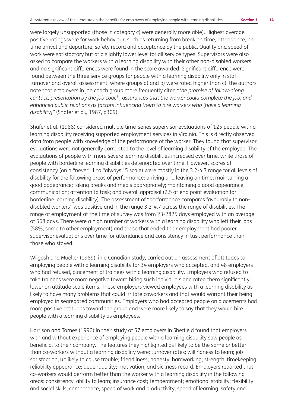were largely unsupported (those in category c) were generally more able). Highest average positive ratings were for work behaviour, such as returning from break on time, attendance, on time arrival and departure, safety record and acceptance by the public. Quality and speed of work were satisfactory but at a slightly lower level for all service types. Supervisors were also asked to compare the workers with a learning disability with their other non-disabled workers and no significant differences were found in the score awarded. Significant difference were found between the three service groups for people with a learning disability only in staff turnover and overall assessment, where groups a) and b) were rated higher than c). the authors note that employers in job coach group more frequently cited *"the promise of follow-along contact, presentation by the job coach, assurances that the worker could complete the job, and enhanced public relations as factors influencing them to hire workers who [have a learning disability]"* (Shafer et al., 1987, p309).

Shafer et al. (1988) considered multiple time-series supervisor evaluations of 125 people with a learning disability receiving supported employment services in Virginia. This is directly observed data from people with knowledge of the performance of the worker. They found that supervisor evaluations were not generally correlated to the level of learning disability of the employee. The evaluations of people with more severe learning disabilities increased over time, while those of people with borderline learning disabilities deteriorated over time. However, scores of consistency (on a "never" 1 to "always" 5 scale) were mostly in the 3.2-4.7 range for all levels of disability for the following areas of performance: arriving and leaving on time; maintaining a good appearance; taking breaks and meals appropriately; maintaining a good appearance; communication; attention to task; and overall appraisal (2.5 at end point evaluation for borderline learning disability). The assessment of "performance compares favourably to nondisabled workers" was positive and in the range 3.2-4.7 across the range of disabilities. The range of employment at the time of survey was from 23-2825 days employed with an average of 568 days. There were a high number of workers with a learning disability who left their jobs (58%, some to other employment) and those that ended their employment had poorer supervisor evaluations over time for attendance and consistency in task performance than those who stayed.

Wilgosh and Mueller (1989), in a Canadian study, carried out an assessment of attitudes to employing people with a learning disability for 34 employers who accepted, and 48 employers who had refused, placement of trainees with a learning disability. Employers who refused to take trainees were more negative toward hiring such individuals and rated them significantly lower on attitude scale items. These employers viewed employees with a learning disability as likely to have many problems that could irritate coworkers and that would warrant their being employed in segregated communities. Employers who had accepted people on placements had more positive attitudes toward the group and were more likely to say that they would hire people with a learning disability as employees.

Harrison and Tomes (1990) in their study of 57 employers in Sheffield found that employers with and without experience of employing people with a learning disability saw people as beneficial to their company. The features they highlighted as likely to be the same or better than co-workers without a learning disability were: turnover rates; willingness to learn; job satisfaction; unlikely to cause trouble; friendliness; honesty; hardworking; strength; timekeeping; reliability appearance; dependability; motivation; and sickness record. Employers reported that co-workers would perform better than the worker with a learning disability in the following areas: consistency; ability to learn; insurance cost; temperament; emotional stability; flexibility and social skills; competence; speed of work and productivity; speed of learning; safety and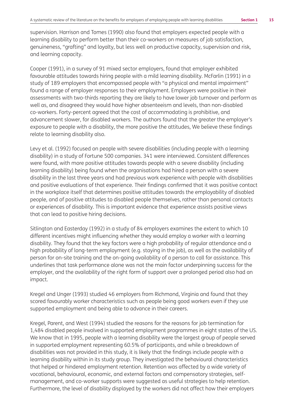supervision. Harrison and Tomes (1990) also found that employers expected people with a learning disability to perform better than their co-workers on measures of job satisfaction, genuineness, "grafting" and loyalty, but less well on productive capacity, supervision and risk, and learning capacity.

Cooper (1991), in a survey of 91 mixed sector employers, found that employer exhibited favourable attitudes towards hiring people with a mild learning disability. McFarlin (1991) in a study of 189 employers that encompassed people with "a physical and mental impairment" found a range of employer responses to their employment. Employers were positive in their assessments with two-thirds reporting they are likely to have lower job turnover and perform as well as, and disagreed they would have higher absenteeism and levels, than non-disabled co-workers. Forty-percent agreed that the cost of accommodating is prohibitive, and advancement slower, for disabled workers. The authors found that the greater the employer's exposure to people with a disability, the more positive the attitudes, We believe these findings relate to learning disability also.

Levy et al. (1992) focused on people with severe disabilities (including people with a learning disability) in a study of Fortune 500 companies. 341 were interviewed. Consistent differences were found, with more positive attitudes towards people with a severe disability (including learning disability) being found when the organisations had hired a person with a severe disability in the last three years and had previous work experience with people with disabilities and positive evaluations of that experience. Their findings confirmed that it was positive contact in the workplace itself that determines positive attitudes towards the employability of disabled people, and of positive attitudes to disabled people themselves, rather than personal contacts or experiences of disability. This is important evidence that experience assists positive views that can lead to positive hiring decisions.

Sitlington and Easterday (1992) in a study of 84 employers examines the extent to which 10 different incentives might influencing whether they would employ a worker with a learning disability. They found that the key factors were a high probability of regular attendance and a high probability of long-term employment (e.g. staying in the job), as well as the availability of person for on-site training and the on-going availability of a person to call for assistance. This underlines that task performance alone was not the main factor underpinning success for the employer, and the availability of the right form of support over a prolonged period also had an impact.

Kregel and Unger (1993) studied 46 employers from Richmond, Virginia and found that they scored favourably worker characteristics such as people being good workers even if they use supported employment and being able to advance in their careers.

Kregel, Parent, and West (1994) studied the reasons for the reasons for job termination for 1,484 disabled people involved in supported employment programmes in eight states of the US. We know that in 1995, people with a learning disability were the largest group of people served in supported employment representing 60.5% of participants, and while a breakdown of disabilities was not provided in this study, it is likely that the findings include people with a learning disability within in its study group. They investigated the behavioural characteristics that helped or hindered employment retention. Retention was affected by a wide variety of vocational, behavioural, economic, and external factors and compensatory strategies, selfmanagement, and co-worker supports were suggested as useful strategies to help retention. Furthermore, the level of disability displayed by the workers did not affect how their employers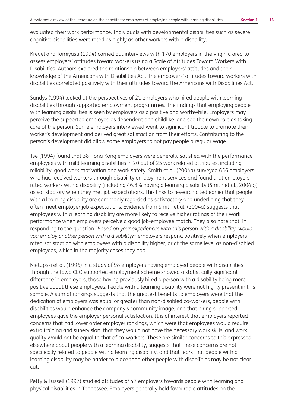evaluated their work performance. Individuals with developmental disabilities such as severe cognitive disabilities were rated as highly as other workers with a disability.

Kregel and Tomiyasu (1994) carried out interviews with 170 employers in the Virginia area to assess employers' attitudes toward workers using a Scale of Attitudes Toward Workers with Disabilities. Authors explored the relationship between employers' attitudes and their knowledge of the Americans with Disabilities Act. The employers' attitudes toward workers with disabilities correlated positively with their attitudes toward the Americans with Disabilities Act.

Sandys (1994) looked at the perspectives of 21 employers who hired people with learning disabilities through supported employment programmes. The findings that employing people with learning disabilities is seen by employers as a positive and worthwhile. Employers may perceive the supported employee as dependent and childlike, and see their own role as taking care of the person. Some employers interviewed went to significant trouble to promote their worker's development and derived great satisfaction from their efforts. Contributing to the person's development did allow some employers to not pay people a regular wage.

Tse (1994) found that 38 Hong Kong employers were generally satisfied with the performance employees with mild learning disabilities in 20 out of 25 work related attributes, including reliability, good work motivation and work safety. Smith et al. (2004a) surveyed 656 employers who had received workers through disability employment services and found that employers rated workers with a disability (including 46.8% having a learning disability (Smith et al., 2004b)) as satisfactory when they met job expectations. This links to research cited earlier that people with a learning disability are commonly regarded as satisfactory and underlining that they often meet employer job expectations. Evidence from Smith et al. (2004a) suggests that employees with a learning disability are more likely to receive higher ratings of their work performance when employers perceive a good job-employee match. They also note that, in responding to the question *"Based on your experiences with this person with a disability, would you employ another person with a disability?"* employers respond positively when employers rated satisfaction with employees with a disability higher, or at the same level as non-disabled employees, which in the majority cases they had.

Nietupski et al. (1996) in a study of 98 employers having employed people with disabilities through the Iowa CEO supported employment scheme showed a statistically significant difference in employers, those having previously hired a person with a disability being more positive about these employees. People with a learning disability were not highly present in this sample. A sum of rankings suggests that the greatest benefits to employers were that the dedication of employers was equal or greater than non-disabled co-workers, people with disabilities would enhance the company's community image, and that hiring supported employees gave the employer personal satisfaction. It is of interest that employers reported concerns that had lower order employer rankings, which were that employees would require extra training and supervision, that they would not have the necessary work skills, and work quality would not be equal to that of co-workers. These are similar concerns to this expressed elsewhere about people with a learning disability, suggests that these concerns are not specifically related to people with a learning disability, and that fears that people with a learning disability may be harder to place than other people with disabilities may be not clear cut.

Petty & Fussell (1997) studied attitudes of 47 employers towards people with learning and physical disabilities in Tennessee. Employers generally held favourable attitudes on the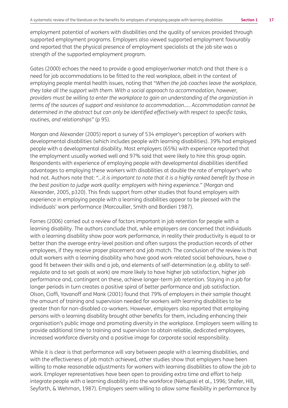employment potential of workers with disabilities and the quality of services provided through supported employment programs. Employers also viewed supported employment favourably and reported that the physical presence of employment specialists at the job site was a strength of the supported employment program.

Gates (2000) echoes the need to provide a good employer/worker match and that there is a need for job accommodations to be fitted to the real workplace, albeit in the context of employing people mental health issues, noting that "*When the job coaches leave the workplace, they take all the support with them. With a social approach to accommodation, however, providers must be willing to enter the workplace to gain an understanding of the organization in terms of the sources of support and resistance to accommodation.…. Accommodation cannot be determined in the abstract but can only be identified effectively with respect to specific tasks, routines, and relationships"* (p 95).

Morgan and Alexander (2005) report a survey of 534 employer's perception of workers with developmental disabilities (which includes people with learning disabilities). 39% had employed people with a developmental disability. Most employers (65%) with experience reported that the employment usually worked well and 97% said that were likely to hire this group again. Respondents with experience of employing people with developmental disabilities identified advantages to employing these workers with disabilities at double the rate of employer's who had not. Authors note that: *"…it is important to note that it is a highly ranked benefit by those in the best position to judge work quality: employers with hiring experience."* (Morgan and Alexander, 2005, p320). This finds support from other studies that found employers with experience in employing people with a learning disabilities appear to be pleased with the individuals' work performance (Marcouiller, Smith and Bordieri 1987).

Fornes (2006) carried out a review of factors important in job retention for people with a learning disability. The authors conclude that, while employers are concerned that individuals with a learning disability show poor work performance, in reality their productivity is equal to or better than the average entry-level position and often surpass the production records of other employees, if they receive proper placement and job match. The conclusion of the review is that adult workers with a learning disability who have good work-related social behaviours, have a good fit between their skills and a job, and elements of self-determination (e.g. ability to selfregulate and to set goals at work) are more likely to have higher job satisfaction, higher job performance and, contingent on these, achieve longer-term job retention. Staying in a job for longer periods in turn creates a positive spiral of better performance and job satisfaction. Olson, Cioffi, Yovanoff and Mank (2001) found that 79% of employers in their sample thought the amount of training and supervision needed for workers with learning disabilities to be greater than for non-disabled co-workers. However, employers also reported that employing persons with a learning disability brought other benefits for them, including enhancing their organisation's public image and promoting diversity in the workplace. Employers seem willing to provide additional time to training and supervision to obtain reliable, dedicated employees, increased workforce diversity and a positive image for corporate social responsibility.

While it is clear is that performance will vary between people with a learning disabilities, and with the effectiveness of job match achieved, other studies show that employers have been willing to make reasonable adjustments for workers with learning disabilities to allow the job to work. Employer representatives have been open to providing extra time and effort to help integrate people with a learning disability into the workforce (Nietupski et al., 1996; Shafer, Hill, Seyfarth, & Wehman, 1987). Employers seem willing to allow some flexibility in performance by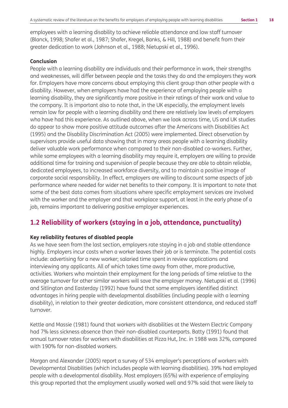employees with a learning disability to achieve reliable attendance and low staff turnover (Blanck, 1998; Shafer et al., 1987; Shafer, Kregel, Banks, & Hill, 1988) and benefit from their greater dedication to work (Johnson et al., 1988; Nietupski et al., 1996).

#### **Conclusion**

People with a learning disability are individuals and their performance in work, their strengths and weaknesses, will differ between people and the tasks they do and the employers they work for. Employers have more concerns about employing this client group than other people with a disability. However, when employers have had the experience of employing people with a learning disability, they are significantly more positive in their ratings of their work and value to the company. It is important also to note that, in the UK especially, the employment levels remain low for people with a learning disability and there are relatively low levels of employers who have had this experience. As outlined above, when we look across time, US and UK studies do appear to show more positive attitude outcomes after the Americans with Disabilities Act (1995) and the Disability Discrimination Act (2005) were implemented. Direct observation by supervisors provide useful data showing that in many areas people with a learning disability deliver valuable work performance when compared to their non-disabled co-workers. Further, while some employees with a learning disability may require it, employers are willing to provide additional time for training and supervision of people because they are able to obtain reliable, dedicated employees, to increased workforce diversity, and to maintain a positive image of corporate social responsibility. In effect, employers are willing to discount some aspects of job performance where needed for wider net benefits to their company. It is important to note that some of the best data comes from situations where specific employment services are involved with the worker and the employer and that workplace support, at least in the early phase of a job, remains important to delivering positive employer experiences.

### **1.2 Reliability of workers (staying in a job, attendance, punctuality)**

#### **Key reliability features of disabled people**

As we have seen from the last section, employers rate staying in a job and stable attendance highly. Employers incur costs when a worker leaves their job or is terminate. The potential costs include: advertising for a new worker; salaried time spent in review applications and interviewing any applicants. All of which takes time away from other, more productive, activities. Workers who maintain their employment for the long periods of time relative to the average turnover for other similar workers will save the employer money. Nietupski et al. (1996) and Sitlington and Easterday (1992) have found that some employers identified distinct advantages in hiring people with developmental disabilities (including people with a learning disability), in relation to their greater dedication, more consistent attendance, and reduced staff turnover.

Kettle and Massie (1981) found that workers with disabilities at the Western Electric Company had 7% less sickness absence than their non-disabled counterparts. Batty (1991) found that annual turnover rates for workers with disabilities at Pizza Hut, Inc. in 1988 was 32%, compared with 190% for non-disabled workers.

Morgan and Alexander (2005) report a survey of 534 employer's perceptions of workers with Developmental Disabilities (which includes people with learning disabilities). 39% had employed people with a developmental disability. Most employers (65%) with experience of employing this group reported that the employment usually worked well and 97% said that were likely to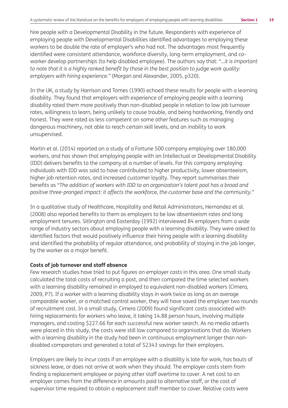hire people with a Developmental Disability in the future. Respondents with experience of employing people with Developmental Disabilities identified advantages to employing these workers to be double the rate of employer's who had not. The advantages most frequently identified were consistent attendance, workforce diversity, long-term employment, and coworker develop partnerships (to help disabled employee). The authors say that: *"…it is important to note that it is a highly ranked benefit by those in the best position to judge work quality: employers with hiring experience."* (Morgan and Alexander, 2005, p320).

In the UK, a study by Harrison and Tomes (1990) echoed these results for people with a learning disability. They found that employers with experience of employing people with a learning disability rated them more positively than non-disabled people in relation to low job turnover rates, willingness to learn, being unlikely to cause trouble, and being hardworking, friendly and honest. They were rated as less competent on some other features such as managing dangerous machinery, not able to reach certain skill levels, and an inability to work unsupervised.

Martin et al. (2014) reported on a study of a Fortune 500 company employing over 180,000 workers, and has shown that employing people with an Intellectual or Developmental Disability (IDD) delivers benefits to the company at a number of levels. For this company employing individuals with IDD was said to have contributed to higher productivity, lower absenteeism, higher job retention rates, and increased customer loyalty. They report summarises their benefits as *"The addition of workers with IDD to an organization's talent pool has a broad and positive three-pronged impact: it affects the workforce, the customer base and the community."*

In a qualitative study of Healthcare, Hospitality and Retail Administrators, Hernandez et al. (2008) also reported benefits to them as employers to be low absenteeism rates and long employment tenures. Sitlington and Easterday (1992) interviewed 84 employers from a wide range of industry sectors about employing people with a learning disability. They were asked to identified factors that would positively influence their hiring people with a learning disability and identified the probability of regular attendance, and probability of staying in the job longer, by the worker as a major benefit.

#### **Costs of job turnover and staff absence**

Few research studies have tried to put figures on employer costs in this area. One small study calculated the total costs of recruiting a post, and then compared the time selected workers with a learning disability remained in employed to equivalent non-disabled workers (Cimera, 2009, P7). If a worker with a learning disability stays in work twice as long as an average comparable worker, or a matched control worker, they will have saved the employer two rounds of recruitment cost. In a small study, Cimera (2009) found significant costs associated with hiring replacements for workers who leave, it taking 14.88 person hours, involving multiple managers, and costing \$227.66 for each successful new worker search. As no media adverts were placed in this study, the costs were still low compared to organisations that do. Workers with a learning disability in the study had been in continuous employment longer than nondisabled comparators and generated a total of \$2343 savings for their employers.

Employers are likely to incur costs if an employee with a disability is late for work, has bouts of sickness leave, or does not arrive at work when they should. The employer costs stem from finding a replacement employee or paying other staff overtime to cover. A net cost to an employer comes from the difference in amounts paid to alternative staff, or the cost of supervisor time required to obtain a replacement staff member to cover. Relative costs were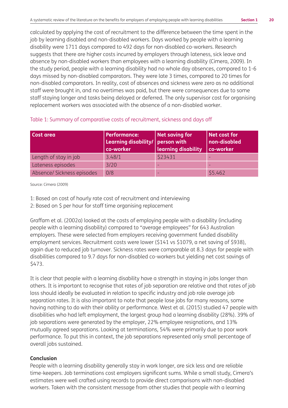calculated by applying the cost of recruitment to the difference between the time spent in the job by learning disabled and non-disabled workers. Days worked by people with a learning disability were 1711 days compared to 492 days for non-disabled co-workers. Research suggests that there are higher costs incurred by employers through lateness, sick leave and absence by non-disabled workers than employees with a learning disability (Cimera, 2009). In the study period, people with a learning disability had no whole day absences, compared to 1-6 days missed by non-disabled comparators. They were late 3 times, compared to 20 times for non-disabled comparators. In reality, cost of absences and sickness were zero as no additional staff were brought in, and no overtimes was paid, but there were consequences due to some staff staying longer and tasks being delayed or deferred. The only supervisor cost for organising replacement workers was associated with the absence of a non-disabled worker.

| Cost area                  | <b>Performance:</b><br>Learning disability/ person with<br>co-worker | Net saving for<br><b>learning disability</b> | Net cost for<br>non-disabled<br>co-worker |
|----------------------------|----------------------------------------------------------------------|----------------------------------------------|-------------------------------------------|
| Length of stay in job      | 3.48/1                                                               | \$23431                                      | -                                         |
| Lateness episodes          | 3/20                                                                 |                                              |                                           |
| Absence/ Sickness episodes | 0/8                                                                  |                                              | \$5.462                                   |

#### Table 1: Summary of comparative costs of recruitment, sickness and days off

Source: Cimera (2009)

1: Based on cost of hourly rate cost of recruitment and interviewing

2: Based on \$ per hour for staff time organising replacement

Graffam et al. (2002a) looked at the costs of employing people with a disability (including people with a learning disability) compared to "average employees" for 643 Australian employers. These were selected from employers receiving government funded disability employment services. Recruitment costs were lower (\$141 vs \$1079, a net saving of \$938), again due to reduced job turnover. Sickness rates were comparable at 8.3 days for people with disabilities compared to 9.7 days for non-disabled co-workers but yielding net cost savings of \$473.

It is clear that people with a learning disability have a strength in staying in jobs longer than others. It is important to recognise that rates of job separation are relative and that rates of job loss should ideally be evaluated in relation to specific industry and job role average job separation rates. It is also important to note that people lose jobs for many reasons, some having nothing to do with their ability or performance. West et al. (2015) studied 47 people with disabilities who had left employment, the largest group had a learning disability (28%). 39% of job separations were generated by the employer, 22% employee resignations, and 13% mutually agreed separations. Looking at terminations, 54% were primarily due to poor work performance. To put this in context, the job separations represented only small percentage of overall jobs sustained.

#### **Conclusion**

People with a learning disability generally stay in work longer, are sick less and are reliable time-keepers. Job terminations cost employers significant sums. While a small study, Cimera's estimates were well crafted using records to provide direct comparisons with non-disabled workers. Taken with the consistent message from other studies that people with a learning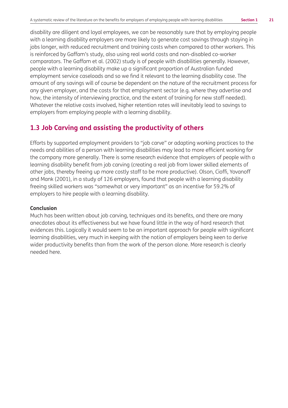disability are diligent and loyal employees, we can be reasonably sure that by employing people with a learning disability employers are more likely to generate cost savings through staying in jobs longer, with reduced recruitment and training costs when compared to other workers. This is reinforced by Gaffam's study, also using real world costs and non-disabled co-worker comparators. The Gaffam et al. (2002) study is of people with disabilities generally. However, people with a learning disability make up a significant proportion of Australian funded employment service caseloads and so we find it relevant to the learning disability case. The amount of any savings will of course be dependent on the nature of the recruitment process for any given employer, and the costs for that employment sector (e.g. where they advertise and how, the intensity of interviewing practice, and the extent of training for new staff needed). Whatever the relative costs involved, higher retention rates will inevitably lead to savings to employers from employing people with a learning disability.

## **1.3 Job Carving and assisting the productivity of others**

Efforts by supported employment providers to "job carve" or adapting working practices to the needs and abilities of a person with learning disabilities may lead to more efficient working for the company more generally. There is some research evidence that employers of people with a learning disability benefit from job carving (creating a real job from lower skilled elements of other jobs, thereby freeing up more costly staff to be more productive). Olson, Cioffi, Yovanoff and Mank (2001), in a study of 126 employers, found that people with a learning disability freeing skilled workers was "somewhat or very important" as an incentive for 59.2% of employers to hire people with a learning disability.

#### **Conclusion**

Much has been written about job carving, techniques and its benefits, and there are many anecdotes about its effectiveness but we have found little in the way of hard research that evidences this. Logically it would seem to be an important approach for people with significant learning disabilities, very much in keeping with the notion of employers being keen to derive wider productivity benefits than from the work of the person alone. More research is clearly needed here.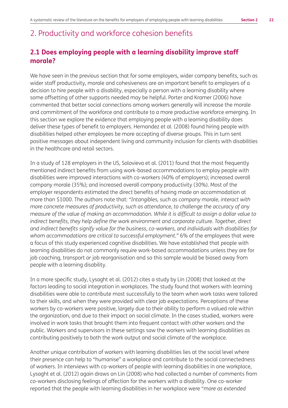## 2. Productivity and workforce cohesion benefits

## **2.1 Does employing people with a learning disability improve staff morale?**

We have seen in the previous section that for some employers, wider company benefits, such as wider staff productivity, morale and cohesiveness are an important benefit to employers of a decision to hire people with a disability, especially a person with a learning disability where some offsetting of other supports needed may be helpful. Porter and Kramer (2006) have commented that better social connections among workers generally will increase the morale and commitment of the workforce and contribute to a more productive workforce emerging. In this section we explore the evidence that employing people with a learning disability does deliver these types of benefit to employers. Hernandez et al. (2008) found hiring people with disabilities helped other employees be more accepting of diverse groups. This in turn sent positive messages about independent living and community inclusion for clients with disabilities in the healthcare and retail sectors.

In a study of 128 employers in the US, Solovieva et al. (2011) found that the most frequently mentioned indirect benefits from using work-based accommodations to employ people with disabilities were improved interactions with co-workers (40% of employers); increased overall company morale (35%); and increased overall company productivity (30%). Most of the employer respondents estimated the direct benefits of having made an accommodation at more than \$1000. The authors note that: *"Intangibles, such as company morale, interact with more concrete measures of productivity, such as attendance, to challenge the accuracy of any measure of the value of making an accommodation. While it is difficult to assign a dollar value to*  indirect benefits, they help define the work environment and corporate culture. Together, direct *and indirect benefits signify value for the business, co-workers, and individuals with disabilities for whom accommodations are critical to successful employment."* 6% of the employees that were a focus of this study experienced cognitive disabilities. We have established that people with learning disabilities do not commonly require work-based accommodations unless they are for job coaching, transport or job reorganisation and so this sample would be biased away from people with a learning disability.

In a more specific study, Lysaght et al. (2012) cites a study by Lin (2008) that looked at the factors leading to social integration in workplaces. The study found that workers with learning disabilities were able to contribute most successfully to the team when work tasks were tailored to their skills, and when they were provided with clear job expectations. Perceptions of these workers by co-workers were positive, largely due to their ability to perform a valued role within the organization, and due to their impact on social climate. In the cases studied, workers were involved in work tasks that brought them into frequent contact with other workers and the public. Workers and supervisors in these settings saw the workers with learning disabilities as contributing positively to both the work output and social climate of the workplace.

Another unique contribution of workers with learning disabilities lies at the social level where their presence can help to "humanise" a workplace and contribute to the social connectedness of workers. In interviews with co-workers of people with learning disabilities in one workplace, Lysaght et al. (2012) again draws on Lin (2008) who had collected a number of comments from co-workers disclosing feelings of affection for the workers with a disability. One co-worker reported that the people with learning disabilities in her workplace were *"more as extended*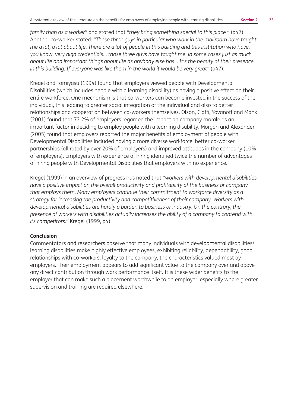*family than as a worker"* and stated that *"they bring something special to this place "* (p47). Another co-worker stated: *"Those three guys in particular who work in the mailroom have taught me a lot, a lot about life. There are a lot of people in this building and this institution who have, you know, very high credentials... those three guys have taught me, in some cases just as much about life and important things about life as anybody else has... It's the beauty of their presence in this building. If everyone was like them in the world it would be very great"* (p47).

Kregel and Tomiyasu (1994) found that employers viewed people with Developmental Disabilities (which includes people with a learning disability) as having a positive effect on their entire workforce. One mechanism is that co-workers can become invested in the success of the individual, this leading to greater social integration of the individual and also to better relationships and cooperation between co-workers themselves. Olson, Cioffi, Yovanoff and Mank (2001) found that 72.2% of employers regarded the impact on company morale as an important factor in deciding to employ people with a learning disability. Morgan and Alexander (2005) found that employers reported the major benefits of employment of people with Developmental Disabilities included having a more diverse workforce, better co-worker partnerships (all rated by over 20% of employers) and improved attitudes in the company (10% of employers). Employers with experience of hiring identified twice the number of advantages of hiring people with Developmental Disabilities that employers with no experience.

Kregel (1999) in an overview of progress has noted that *"workers with developmental disabilities have a positive impact on the overall productivity and profitability of the business or company that employs them. Many employers continue their commitment to workforce diversity as a strategy for increasing the productivity and competitiveness of their company. Workers with developmental disabilities are hardly a burden to business or industry. On the contrary, the presence of workers with disabilities actually increases the ability of a company to contend with its competitors."* Kregel (1999, p4)

#### **Conclusion**

Commentators and researchers observe that many individuals with developmental disabilities/ learning disabilities make highly effective employees, exhibiting reliability, dependability, good relationships with co-workers, loyalty to the company, the characteristics valued most by employers. Their employment appears to add significant value to the company over and above any direct contribution through work performance itself. It is these wider benefits to the employer that can make such a placement worthwhile to an employer, especially where greater supervision and training are required elsewhere.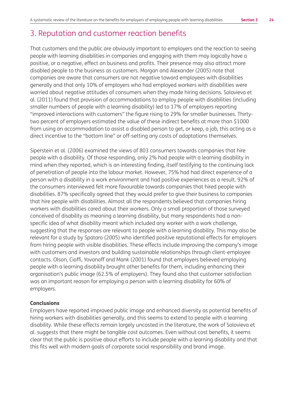## 3. Reputation and customer reaction benefits

That customers and the public are obviously important to employers and the reaction to seeing people with learning disabilities in companies and engaging with them may logically have a positive, or a negative, effect on business and profits. Their presence may also attract more disabled people to the business as customers. Morgan and Alexander (2005) note that companies are aware that consumers are not negative toward employees with disabilities generally and that only 10% of employers who had employed workers with disabilities were worried about negative attitudes of consumers when they made hiring decisions. Solovieva et al. (2011) found that provision of accommodations to employ people with disabilities (including smaller numbers of people with a learning disability) led to 17% of employers reporting "improved interactions with customers" the figure rising to 29% for smaller businesses. Thirtytwo percent of employers estimated the value of these indirect benefits at more than \$1000 from using an accommodation to assist a disabled person to get, or keep, a job, this acting as a direct incentive to the "bottom line" or off-setting any costs of adaptations themselves.

Siperstein et al. (2006) examined the views of 803 consumers towards companies that hire people with a disability. Of those responding, only 2% had people with a learning disability in mind when they reported, which is an interesting finding, itself testifying to the continuing lack of penetration of people into the labour market. However, 75% had had direct experience of a person with a disability in a work environment and had positive experiences as a result. 92% of the consumers interviewed felt more favourable towards companies that hired people with disabilities. 87% specifically agreed that they would prefer to give their business to companies that hire people with disabilities. Almost all the respondents believed that companies hiring workers with disabilities cared about their workers. Only a small proportion of those surveyed conceived of disability as meaning a learning disability, but many respondents had a nonspecific idea of what disability meant which included any worker with a work challenge, suggesting that the responses are relevant to people with a learning disability. This may also be relevant for a study by Spataro (2005) who identified positive reputational effects for employers from hiring people with visible disabilities. These effects include improving the company's image with customers and investors and building sustainable relationships through client-employee contacts. Olson, Cioffi, Yovanoff and Mank (2001) found that employers believed employing people with a learning disability brought other benefits for them, including enhancing their organisation's public image (62.5% of employers). They found also that customer satisfaction was an important reason for employing a person with a learning disability for 60% of employers.

#### **Conclusions**

Employers have reported improved public image and enhanced diversity as potential benefits of hiring workers with disabilities generally, and this seems to extend to people with a learning disability. While these effects remain largely uncosted in the literature, the work of Solovieva et al. suggests that there might be tangible cost outcomes. Even without cost benefits, it seems clear that the public is positive about efforts to include people with a learning disability and that this fits well with modern goals of corporate social responsibility and brand image.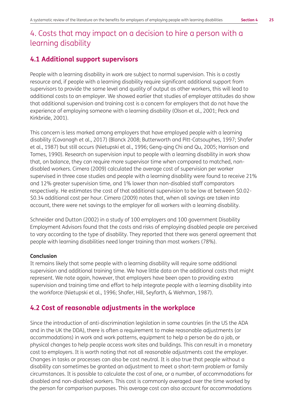## 4. Costs that may impact on a decision to hire a person with a learning disability

### **4.1 Additional support supervisors**

People with a learning disability in work are subject to normal supervision. This is a costly resource and, if people with a learning disability require significant additional support from supervisors to provide the same level and quality of output as other workers, this will lead to additional costs to an employer. We showed earlier that studies of employer attitudes do show that additional supervision and training cost is a concern for employers that do not have the experience of employing someone with a learning disability (Olson et al., 2001; Peck and Kirkbride, 2001).

This concern is less marked among employers that have employed people with a learning disability (Cavanagh et al., 2017) (Blanck 2008; Butterworth and Pitt-Catsouphes, 1997; Shafer et al., 1987) but still occurs (Nietupski et al., 1996; Geng-qing Chi and Qu, 2005; Harrison and Tomes, 1990). Research on supervision input to people with a learning disability in work show that, on balance, they can require more supervisor time when compared to matched, nondisabled workers. Cimera (2009) calculated the average cost of supervision per worker supervised in three case studies and people with a learning disability were found to receive 21% and 12% greater supervision time, and 1% lower than non-disabled staff comparators respectively. He estimates the cost of that additional supervision to be low at between \$0.02- \$0.34 additional cost per hour. Cimera (2009) notes that, when all savings are taken into account, there were net savings to the employer for all workers with a learning disability.

Schneider and Dutton (2002) in a study of 100 employers and 100 government Disability Employment Advisors found that the costs and risks of employing disabled people are perceived to vary according to the type of disability. They reported that there was general agreement that people with learning disabilities need longer training than most workers (78%).

#### **Conclusion**

It remains likely that some people with a learning disability will require some additional supervision and additional training time. We have little data on the additional costs that might represent. We note again, however, that employers have been open to providing extra supervision and training time and effort to help integrate people with a learning disability into the workforce (Nietupski et al., 1996; Shafer, Hill, Seyfarth, & Wehman, 1987).

### **4.2 Cost of reasonable adjustments in the workplace**

Since the introduction of anti-discrimination legislation in some countries (in the US the ADA and in the UK the DDA), there is often a requirement to make reasonable adjustments (or accommodations) in work and work patterns, equipment to help a person be do a job, or physical changes to help people access work sites and buildings. This can result in a monetary cost to employers. It is worth noting that not all reasonable adjustments cost the employer. Changes in tasks or processes can also be cost neutral. It is also true that people without a disability can sometimes be granted an adjustment to meet a short-term problem or family circumstances. It is possible to calculate the cost of one, or a number, of accommodations for disabled and non-disabled workers. This cost is commonly averaged over the time worked by the person for comparison purposes. This average cost can also account for accommodations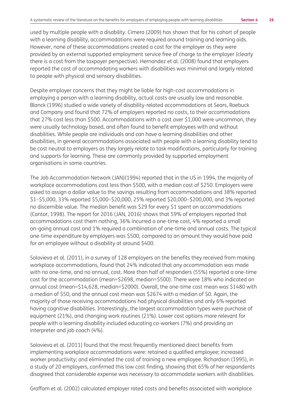used by multiple people with a disability. Cimera (2009) has shown that for his cohort of people with a learning disability, accommodations were required around training and learning aids. However, none of these accommodations created a cost for the employer as they were provided by an external supported employment service free of charge to the employer (clearly there is a cost from the taxpayer perspective). Hernandez et al. (2008) found that employers reported the cost of accommodating workers with disabilities was minimal and largely related to people with physical and sensory disabilities.

Despite employer concerns that they might be liable for high-cost accommodations in employing a person with a learning disability, actual costs are usually low and reasonable. Blanck (1996) studied a wide variety of disability-related accommodations at Sears, Roebuck and Company and found that 72% of employers reported no costs, to their accommodations that 27% cost less than \$500. Accommodations with a cost over \$1,000 were uncommon, they were usually technology based, and often found to benefit employees with and without disabilities. While people are individuals and can have a learning disabilities and other disabilities, in general accommodations associated with people with a learning disability tend to be cost neutral to employers as they largely relate to task modifications, particularly for training and supports for learning. These are commonly provided by supported employment organisations in some countries.

The Job Accommodation Network (JAN)(1994) reported that in the US in 1994, the majority of workplace accommodations cost less than \$500, with a median cost of \$250. Employers were asked to assign a dollar value to the savings resulting from accommodations and 38% reported \$1–\$5,000, 33% reported \$5,000–\$20,000, 25% reported \$20,000–\$200,000, and 3% reported no discernible value. The median benefit was \$29 for every \$1 spent on accommodations (Cantor, 1998). The report for 2016 (JAN, 2016) shows that 59% of employers reported that accommodations cost them nothing, 36% incurred a one-time cost, 4% reported a small on-going annual cost and 1% required a combination of one-time and annual costs. The typical one-time expenditure by employers was \$500, compared to an amount they would have paid for an employee without a disability at around \$400.

Solovieva et al. (2011), in a survey of 128 employers on the benefits they received from making workplace accommodations, found that 24% indicated that any accommodation was made with no one-time, and no annual, cost. More than half of responders (55%) reported a one-time cost for the accommodation (mean=\$2698, median=\$500). There were 18% who indicated an annual cost (mean=\$14,628, median=\$2000). Overall, the one-time cost mean was \$1480 with a median of \$50, and the annual cost mean was \$2674 with a median of \$0. Again, the majority of those receiving accommodations had physical disabilities and only 6% reported having cognitive disabilities. Interestingly, the largest accommodation types were purchase of equipment (21%), and changing work routines (21%). Lower cost options more relevant for people with a learning disability included educating co-workers (7%) and providing an interpreter and job coach (4%).

Solovieva et al. (2011) found that the most frequently mentioned direct benefits from implementing workplace accommodations were: retained a qualified employee; increased worker productivity; and eliminated the cost of training a new employee. Richardson (1995), in a study of 20 employers, confirmed this low cost finding, showing that 65% of her respondents disagreed that considerable expense was necessary to accommodate workers with disabilities.

Graffam et al. (2002) calculated employer rated costs and benefits associated with workplace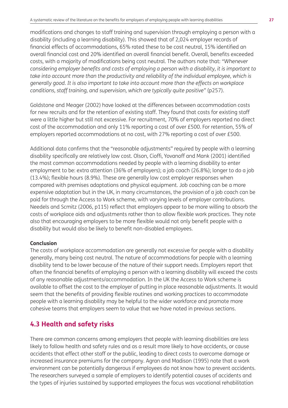modifications and changes to staff training and supervision through employing a person with a disability (including a learning disability). This showed that of 2,024 employer records of financial effects of accommodations, 65% rated these to be cost neutral, 15% identified an overall financial cost and 20% identified an overall financial benefit. Overall, benefits exceeded costs, with a majority of modifications being cost neutral. The authors note that: *"Whenever considering employer benefits and costs of employing a person with a disability, it is important to*  take into account more than the productivity and reliability of the individual employee, which is *generally good. It is also important to take into account more than the effects on workplace conditions, staff training, and supervision, which are typically quite positive"* (p257).

Goldstone and Meager (2002) have looked at the differences between accommodation costs for new recruits and for the retention of existing staff. They found that costs for existing staff were a little higher but still not excessive. For recruitment, 70% of employers reported no direct cost of the accommodation and only 11% reporting a cost of over £500. For retention, 55% of employers reported accommodations at no cost, with 27% reporting a cost of over £500.

Additional data confirms that the "reasonable adjustments" required by people with a learning disability specifically are relatively low cost. Olson, Cioffi, Yovanoff and Mank (2001) identified the most common accommodations needed by people with a learning disability to enter employment to be: extra attention (36% of employers); a job coach (26.8%); longer to do a job (13.4%); flexible hours (8.9%). These are generally low cost employer responses when compared with premises adaptations and physical equipment. Job coaching can be a more expensive adaptation but in the UK, in many circumstances, the provision of a job coach can be paid for through the Access to Work scheme, with varying levels of employer contributions. Needels and Scmitz (2006, p115) reflect that employers appear to be more willing to absorb the costs of workplace aids and adjustments rather than to allow flexible work practices. They note also that encouraging employers to be more flexible would not only benefit people with a disability but would also be likely to benefit non-disabled employees.

#### **Conclusion**

The costs of workplace accommodation are generally not excessive for people with a disability generally, many being cost neutral. The nature of accommodations for people with a learning disability tend to be lower because of the nature of their support needs. Employers report that often the financial benefits of employing a person with a learning disability will exceed the costs of any reasonable adjustments/accommodation. In the UK the Access to Work scheme is available to offset the cost to the employer of putting in place reasonable adjustments. It would seem that the benefits of providing flexible routines and working practices to accommodate people with a learning disability may be helpful to the wider workforce and promote more cohesive teams that employers seem to value that we have noted in previous sections.

## **4.3 Health and safety risks**

There are common concerns among employers that people with learning disabilities are less likely to follow health and safety rules and as a result more likely to have accidents, or cause accidents that effect other staff or the public, leading to direct costs to overcome damage or increased insurance premiums for the company. Agran and Madison (1995) note that a work environment can be potentially dangerous if employees do not know how to prevent accidents. The researchers surveyed a sample of employers to identify potential causes of accidents and the types of injuries sustained by supported employees the focus was vocational rehabilitation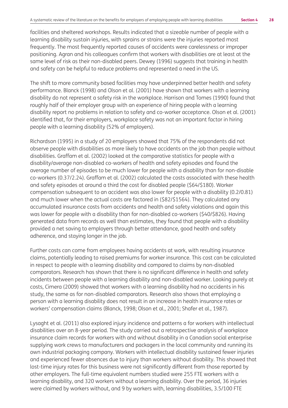facilities and sheltered workshops. Results indicated that a sizeable number of people with a learning disability sustain injuries, with sprains or strains were the injuries reported most frequently. The most frequently reported causes of accidents were carelessness or improper positioning. Agran and his colleagues confirm that workers with disabilities are at least at the same level of risk as their non-disabled peers. Dewey (1996) suggests that training in health and safety can be helpful to reduce problems and represented a need in the US.

The shift to more community based facilities may have underpinned better health and safety performance. Blanck (1998) and Olson et al. (2001) have shown that workers with a learning disability do not represent a safety risk in the workplace. Harrison and Tomes (1990) found that roughly half of their employer group with an experience of hiring people with a learning disability report no problems in relation to safety and co-worker acceptance. Olson et al. (2001) identified that, for their employers, workplace safety was not an important factor in hiring people with a learning disability (52% of employers).

Richardson (1995) in a study of 20 employers showed that 75% of the respondents did not observe people with disabilities as more likely to have accidents on the job than people without disabilities. Graffam et al. (2002) looked at the comparative statistics for people with a disability/average non-disabled co-workers of health and safety episodes and found the average number of episodes to be much lower for people with a disability than for non-disable co-workers (0.37/2.24). Graffam et al. (2002) calculated the costs associated with these health and safety episodes at around a third the cost for disabled people (\$64/\$180). Worker compensation subsequent to an accident was also lower for people with a disability (0.2/0.81) and much lower when the actual costs are factored in (\$82/\$1564). They calculated any accumulated insurance costs from accidents and health and safety violations and again this was lower for people with a disability than for non-disabled co-workers (\$40/\$826). Having generated data from records as well than estimates, they found that people with a disability provided a net saving to employers through better attendance, good health and safety adherence, and staying longer in the job.

Further costs can come from employees having accidents at work, with resulting insurance claims, potentially leading to raised premiums for worker insurance. This cost can be calculated in respect to people with a learning disability and compared to claims by non-disabled comparators. Research has shown that there is no significant difference in health and safety incidents between people with a learning disability and non-disabled worker. Looking purely at costs, Cimera (2009) showed that workers with a learning disability had no accidents in his study, the same as for non-disabled comparators. Research also shows that employing a person with a learning disability does not result in an increase in health insurance rates or workers' compensation claims (Blanck, 1998; Olson et al., 2001; Shafer et al., 1987).

Lysaght et al. (2011) also explored injury incidence and patterns a for workers with intellectual disabilities over an 8-year period. The study carried out a retrospective analysis of workplace insurance claim records for workers with and without disability in a Canadian social enterprise supplying work crews to manufacturers and packagers in the local community and running its own industrial packaging company. Workers with intellectual disability sustained fewer injuries and experienced fewer absences due to injury than workers without disability. This showed that lost-time injury rates for this business were not significantly different from those reported by other employers. The full-time equivalent numbers studied were 255 FTE workers with a learning disability, and 320 workers without a learning disability. Over the period, 36 injuries were claimed by workers without, and 9 by workers with, learning disabilities, 3.5/100 FTE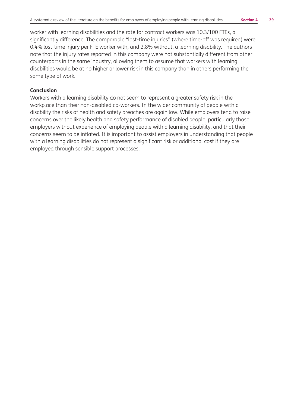worker with learning disabilities and the rate for contract workers was 10.3/100 FTEs, a significantly difference. The comparable "lost-time injuries" (where time-off was required) were 0.4% lost-time injury per FTE worker with, and 2.8% without, a learning disability. The authors note that the injury rates reported in this company were not substantially different from other counterparts in the same industry, allowing them to assume that workers with learning disabilities would be at no higher or lower risk in this company than in others performing the same type of work.

#### **Conclusion**

Workers with a learning disability do not seem to represent a greater safety risk in the workplace than their non-disabled co-workers. In the wider community of people with a disability the risks of health and safety breaches are again low. While employers tend to raise concerns over the likely health and safety performance of disabled people, particularly those employers without experience of employing people with a learning disability, and that their concerns seem to be inflated. It is important to assist employers in understanding that people with a learning disabilities do not represent a significant risk or additional cost if they are employed through sensible support processes.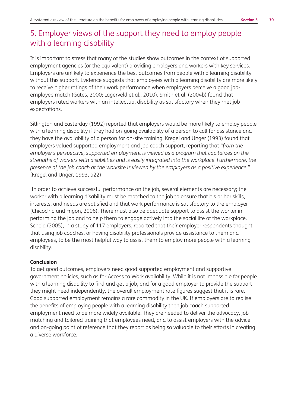## 5. Employer views of the support they need to employ people with a learning disability

It is important to stress that many of the studies show outcomes in the context of supported employment agencies (or the equivalent) providing employers and workers with key services. Employers are unlikely to experience the best outcomes from people with a learning disability without this support. Evidence suggests that employees with a learning disability are more likely to receive higher ratings of their work performance when employers perceive a good jobemployee match (Gates, 2000; Lagerveld et al., 2010). Smith et al. (2004b) found that employers rated workers with an intellectual disability as satisfactory when they met job expectations.

Sitlington and Easterday (1992) reported that employers would be more likely to employ people with a learning disability if they had on-going availability of a person to call for assistance and they have the availability of a person for on-site training. Kregel and Unger (1993) found that employers valued supported employment and job coach support, reporting that *"from the employer's perspective, supported employment is viewed as a program that capitalizes on the strengths of workers with disabilities and is easily integrated into the workplace. Furthermore, the presence of the job coach at the worksite is viewed by the employers as a positive experience."* (Kregel and Unger, 1993, p22)

 In order to achieve successful performance on the job, several elements are necessary; the worker with a learning disability must be matched to the job to ensure that his or her skills, interests, and needs are satisfied and that work performance is satisfactory to the employer (Chicochio and Frigon, 2006). There must also be adequate support to assist the worker in performing the job and to help them to engage actively into the social life of the workplace. Scheid (2005), in a study of 117 employers, reported that their employer respondents thought that using job coaches, or having disability professionals provide assistance to them and employees, to be the most helpful way to assist them to employ more people with a learning disability.

#### **Conclusion**

To get good outcomes, employers need good supported employment and supportive government policies, such as for Access to Work availability. While it is not impossible for people with a learning disability to find and get a job, and for a good employer to provide the support they might need independently, the overall employment rate figures suggest that it is rare. Good supported employment remains a rare commodity in the UK. If employers are to realise the benefits of employing people with a learning disability then job coach supported employment need to be more widely available. They are needed to deliver the advocacy, job matching and tailored training that employees need, and to assist employers with the advice and on-going point of reference that they report as being so valuable to their efforts in creating a diverse workforce.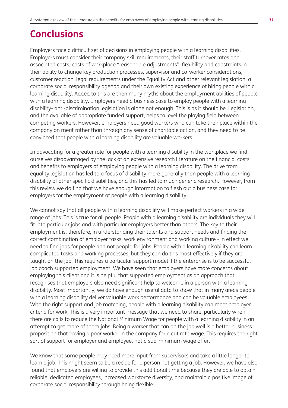# **Conclusions**

Employers face a difficult set of decisions in employing people with a learning disabilities. Employers must consider their company skill requirements, their staff turnover rates and associated costs, costs of workplace "reasonable adjustments", flexibility and constraints in their ability to change key production processes, supervisor and co-worker considerations, customer reaction, legal requirements under the Equality Act and other relevant legislation, a corporate social responsibility agenda and their own existing experience of hiring people with a learning disability. Added to this are then many myths about the employment abilities of people with a learning disability. Employers need a business case to employ people with a learning disability- anti-discrimination legislation is alone not enough. This is as it should be. Legislation, and the available of appropriate funded support, helps to level the playing field between competing workers. However, employers need good workers who can take their place within the company on merit rather than through any sense of charitable action, and they need to be convinced that people with a learning disability are valuable workers.

In advocating for a greater role for people with a learning disability in the workplace we find ourselves disadvantaged by the lack of an extensive research literature on the financial costs and benefits to employers of employing people with a learning disability. The drive from equality legislation has led to a focus of disability more generally than people with a learning disability of other specific disabilities, and this has led to much generic research. However, from this review we do find that we have enough information to flesh out a business case for employers for the employment of people with a learning disability.

We cannot say that all people with a learning disability will make perfect workers in a wide range of jobs. This is true for all people. People with a learning disability are individuals they will fit into particular jobs and with particular employers better than others. The key to their employment is, therefore, in understanding their talents and support needs and finding the correct combination of employer tasks, work environment and working culture - in effect we need to find jobs for people and not people for jobs. People with a learning disability can learn complicated tasks and working processes, but they can do this most effectively if they are taught on the job. This requires a particular support model if the enterprise is to be successfuljob coach supported employment. We have seen that employers have more concerns about employing this client and it is helpful that supported employment as an approach that recognises that employers also need significant help to welcome in a person with a learning disability. Most importantly, we do have enough useful data to show that in many areas people with a learning disability deliver valuable work performance and can be valuable employees. With the right support and job matching, people with a learning disability can meet employer criteria for work. This is a very important message that we need to share, particularly when there are calls to reduce the National Minimum Wage for people with a learning disability in an attempt to get more of them jobs. Being a worker that can do the job well is a better business proposition that having a poor worker in the company for a cut rate wage. This requires the right sort of support for employer and employee, not a sub-minimum wage offer.

We know that some people may need more input from supervisors and take a little longer to learn a job. This might seem to be a recipe for a person not getting a job. However, we have also found that employers are willing to provide this additional time because they are able to obtain reliable, dedicated employees, increased workforce diversity, and maintain a positive image of corporate social responsibility through being flexible.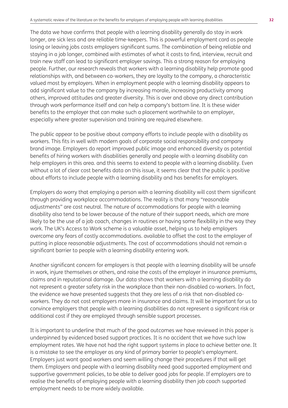The data we have confirms that people with a learning disability generally do stay in work longer, are sick less and are reliable time-keepers. This is powerful employment card as people losing or leaving jobs costs employers significant sums. The combination of being reliable and staying in a job longer, combined with estimates of what it costs to find, interview, recruit and train new staff can lead to significant employer savings. This a strong reason for employing people. Further, our research reveals that workers with a learning disability help promote good relationships with, and between co-workers, they are loyalty to the company, a characteristic valued most by employers. When in employment people with a learning disability appears to add significant value to the company by increasing morale, increasing productivity among others, improved attitudes and greater diversity. This is over and above any direct contribution through work performance itself and can help a company's bottom line. It is these wider benefits to the employer that can make such a placement worthwhile to an employer, especially where greater supervision and training are required elsewhere.

The public appear to be positive about company efforts to include people with a disability as workers. This fits in well with modern goals of corporate social responsibility and company brand image. Employers do report improved public image and enhanced diversity as potential benefits of hiring workers with disabilities generally and people with a learning disability can help employers in this area. and this seems to extend to people with a learning disability. Even without a lot of clear cost benefits data on this issue, it seems clear that the public is positive about efforts to include people with a learning disability and has benefits for employers.

Employers do worry that employing a person with a learning disability will cost them significant through providing workplace accommodations. The reality is that many "reasonable adjustments" are cost neutral. The nature of accommodations for people with a learning disability also tend to be lower because of the nature of their support needs, which are more likely to be the use of a job coach, changes in routines or having some flexibility in the way they work. The UK's Access to Work scheme is a valuable asset, helping us to help employers overcome any fears of costly accommodations. available to offset the cost to the employer of putting in place reasonable adjustments. The cost of accommodations should not remain a significant barrier to people with a learning disability entering work.

Another significant concern for employers is that people with a learning disability will be unsafe in work, injure themselves or others, and raise the costs of the employer in insurance premiums, claims and in reputational damage. Our data shows that workers with a learning disability do not represent a greater safety risk in the workplace than their non-disabled co-workers. In fact, the evidence we have presented suggests that they are less of a risk that non-disabled coworkers. They do not cost employers more in insurance and claims. It will be important for us to convince employers that people with a learning disabilities do not represent a significant risk or additional cost if they are employed through sensible support processes.

It is important to underline that much of the good outcomes we have reviewed in this paper is underpinned by evidenced based support practices. It is no accident that we have such low employment rates. We have not had the right support systems in place to achieve better one. It is a mistake to see the employer as any kind of primary barrier to people's employment. Employers just want good workers and seem willing change their procedures if that will get them. Employers and people with a learning disability need good supported employment and supportive government policies, to be able to deliver good jobs for people. If employers are to realise the benefits of employing people with a learning disability then job coach supported employment needs to be more widely available.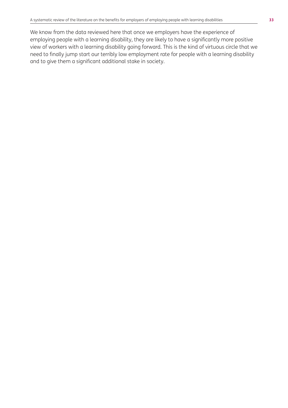We know from the data reviewed here that once we employers have the experience of employing people with a learning disability, they are likely to have a significantly more positive view of workers with a learning disability going forward. This is the kind of virtuous circle that we need to finally jump start our terribly low employment rate for people with a learning disability and to give them a significant additional stake in society.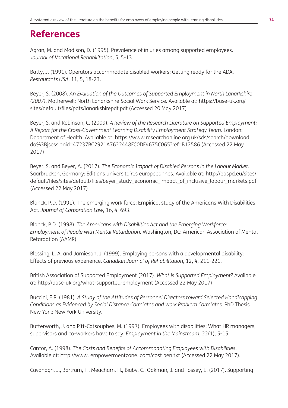# **References**

Agran, M. and Madison, D. (1995). Prevalence of injuries among supported employees. *Journal of Vocational Rehabilitation*, 5, 5-13.

Batty, J. (1991). Operators accommodate disabled workers: Getting ready for the ADA. *Restaurants USA*, 11, 5, 18-23.

Beyer, S. (2008). *An Evaluation of the Outcomes of Supported Employment in North Lanarkshire (2007)*. Motherwell: North Lanarkshire Social Work Service. Available at: https://base-uk.org/ sites/default/files/pdfs/lanarkshirepdf.pdf (Accessed 20 May 2017)

Beyer, S. and Robinson, C. (2009). *A Review of the Research Literature on Supported Employment: A Report for the Cross-Government Learning Disability Employment Strategy Team*. London: Department of Health. Available at: https://www.researchonline.org.uk/sds/search/download. do%3Bjsessionid=47237BC2921A7622448FC0DF4675C065?ref=B12586 (Accessed 22 May 2017)

Beyer, S. and Beyer, A. (2017). *The Economic Impact of Disabled Persons in the Labour Market*. Saarbrucken, Germany: Editions universitaires europeeannes. Available at: http://easpd.eu/sites/ default/files/sites/default/files/beyer\_study\_economic\_impact\_of\_inclusive\_labour\_markets.pdf (Accessed 22 May 2017)

Blanck, P.D. (1991). The emerging work force: Empirical study of the Americans With Disabilities Act. *Journal of Corporation Law*, 16, 4, 693.

Blanck, P.D. (1998). *The Americans with Disabilities Act and the Emerging Workforce: Employment of People with Mental Retardation*. Washington, DC: American Association of Mental Retardation (AAMR).

Blessing, L. A. and Jamieson, J. (1999). Employing persons with a developmental disability: Effects of previous experience. *Canadian Journal of Rehabilitation*, 12, 4, 211-221.

British Association of Supported Employment (2017). *What is Supported Employment?* Available at: http://base-uk.org/what-supported-employment (Accessed 22 May 2017)

Buccini, E.P. (1981). *A Study of the Attitudes of Personnel Directors toward Selected Handicapping Conditions as Evidenced by Social Distance Correlates and work Problem Correlates*. PhD Thesis. New York: New York University.

Butterworth, J. and Pitt-Catsouphes, M. (1997). Employees with disabilities: What HR managers, supervisors and co-workers have to say. *Employment in the Mainstream*, 22(1), 5-15.

Cantor, A. (1998). *The Costs and Benefits of Accommodating Employees with Disabilities*. Available at: http://www. empowermentzone. com/cost ben.txt (Accessed 22 May 2017).

Cavanagh, J., Bartram, T., Meacham, H., Bigby, C., Oakman, J. and Fossey, E. (2017). Supporting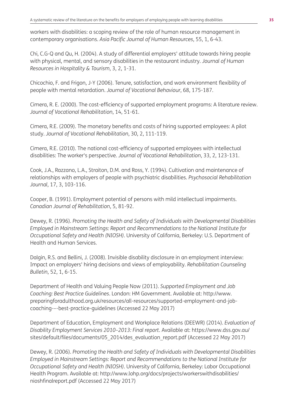workers with disabilities: a scoping review of the role of human resource management in contemporary organisations. *Asia Pacific Journal of Human Resources*, 55, 1, 6-43.

Chi, C.G-Q and Qu, H. (2004). A study of differential employers' attitude towards hiring people with physical, mental, and sensory disabilities in the restaurant industry. *Journal of Human Resources in Hospitality & Tourism*, 3, 2, 1-31.

Chicochio, F. and Frigon, J-Y (2006). Tenure, satisfaction, and work environment flexibility of people with mental retardation. *Journal of Vocational Behaviour*, 68, 175-187.

Cimera, R. E. (2000). The cost-efficiency of supported employment programs: A literature review. *Journal of Vocational Rehabilitation*, 14, 51-61.

Cimera, R.E. (2009). The monetary benefits and costs of hiring supported employees: A pilot study. *Journal of Vocational Rehabilitation*, 30, 2, 111-119.

Cimera, R.E. (2010). The national cost-efficiency of supported employees with intellectual disabilities: The worker's perspective. *Journal of Vocational Rehabilitation*, 33, 2, 123-131.

Cook, J.A., Razzano, L.A., Straiton, D.M. and Ross, Y. (1994). Cultivation and maintenance of relationships with employers of people with psychiatric disabilities. *Psychosocial Rehabilitation Journal*, 17, 3, 103-116.

Cooper, B. (1991). Employment potential of persons with mild intellectual impairments. *Canadian Journal of Rehabilitation*, 5, 81-92.

Dewey, R. (1996). *Promoting the Health and Safety of Individuals with Developmental Disabilities Employed in Mainstream Settings: Report and Recommendations to the National Institute for Occupational Safety and Health (NIOSH)*. University of California, Berkeley: U.S. Department of Health and Human Services.

Dalgin, R.S. and Bellini, J. (2008). Invisible disability disclosure in an employment interview: Impact on employers' hiring decisions and views of employability. *Rehabilitation Counseling Bulletin*, 52, 1, 6-15.

Department of Health and Valuing People Now (2011). *Supported Employment and Job Coaching: Best Practice Guidelines*. London: HM Government. Available at: http://www. preparingforadulthood.org.uk/resources/all-resources/supported-employment-and-jobcoaching-–-best-practice-guidelines (Accessed 22 May 2017)

Department of Education, Employment and Workplace Relations (DEEWR) (2014). *Evaluation of Disability Employment Services 2010–2013: Final report*. Available at: https://www.dss.gov.au/ sites/default/files/documents/05\_2014/des\_evaluation\_report.pdf (Accessed 22 May 2017)

Dewey, R. (2006). *Promoting the Health and Safety of Individuals with Developmental Disabilities Employed in Mainstream Settings: Report and Recommendations to the National Institute for Occupational Safety and Health (NIOSH)*. University of California, Berkeley: Labor Occupational Health Program. Available at: http://www.lohp.org/docs/projects/workerswithdisabilities/ nioshfinalreport.pdf (Accessed 22 May 2017)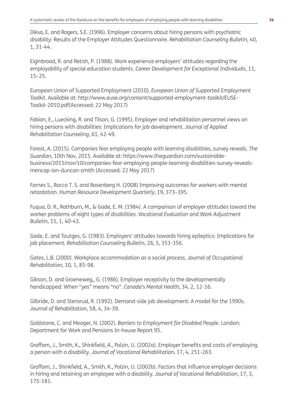Diksa, E. and Rogers, S.E. (1996). Employer concerns about hiring persons with psychiatric disability: Results of the Employer Attitudes Questionnaire. *Rehabilitation Counseling Bulletin*, 40, 1, 31-44.

Eiginbroad, R. and Retish, P. (1988). Work experience employers' attitudes regarding the employability of special education students. *Career Development for Exceptional Individuals*, 11, 15–25.

European Union of Supported Employment (2010). *European Union of Supported Employment Toolkit*. Available at: http://www.euse.org/content/supported-employment-toolkit/EUSE-Toolkit-2010.pdf(Accessed: 22 May 2017)

Fabian, E., Luecking, R. and Tilson, G. (1995). Employer and rehabilitation personnel views on hiring persons with disabilities: Implications for job development. *Journal of Applied Rehabilitation Counseling*, 61, 42-49.

Forest, A. (2015). Companies fear employing people with learning disabilities, survey reveals. *The Guardian*, 10th Nov, 2015. Available at: https://www.theguardian.com/sustainablebusiness/2015/nov/10/companies-fear-employing-people-learning-disabilities-survey-revealsmencap-ian-duncan-smith (Accessed: 22 May 2017)

Fornes S., Rocco T. S. and Rosenberg H. (2008) Improving outcomes for workers with mental retardation. *Human Resource Development Quarterly*, 19, 373–395.

Fuqua, D. R., Rathburn, M., & Gade, E. M. (1984). A comparison of employer attitudes toward the worker problems of eight types of disabilities. *Vocational Evaluation and Work Adjustment Bulletin*, 15, 1, 40-43.

Gade, E. and Toutges, G. (1983). Employers' attitudes towards hiring epileptics: Implications for job placement. *Rehabilitation Counseling Bulletin*, 26, 5, 353-356.

Gates, L.B. (2000). Workplace accommodation as a social process. *Journal of Occupational Rehabilitation*, 10, 1, 85-98.

Gibson, D. and Groeneweg,, G. (1986). Employer receptivity to the developmentally handicapped: When "yes" means "no". *Canada's Mental Health*, 34, 2, 12-16.

Gilbride, D. and Stensrud, R. (1992). Demand-side job development: A model for the 1990s. *Journal of Rehabilitation*, 58, 4, 34-39.

Goldstone, C. and Meager, N. (2002). *Barriers to Employment for Disabled People*. London: Department for Work and Pensions In-house Report 95.

Graffam, J., Smith, K., Shinkfield, A., Polzin, U. (2002a). Employer benefits and costs of employing a person with a disability. *Journal of Vocational Rehabilitation*, 17, 4, 251-263.

Graffam, J., Shinkfield, A., Smith, K., Polzin, U. (2002b). Factors that influence employer decisions in hiring and retaining an employee with a disability. *Journal of Vocational Rehabilitation*, 17, 3, 175-181.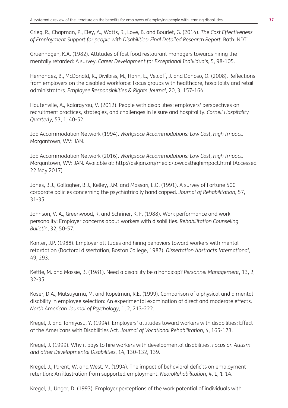Grieg, R., Chapman, P., Eley, A., Watts, R., Love, B. and Bourlet, G. (2014). *The Cost Effectiveness of Employment Support for people with Disabilities: Final Detailed Research Report*. Bath: NDTi.

Gruenhagen, K.A. (1982). Attitudes of fast food restaurant managers towards hiring the mentally retarded: A survey. *Career Development for Exceptional Individuals*, 5, 98-105.

Hernandez, B., McDonald, K., Divilbiss, M., Horin, E., Velcoff, J. and Donoso, O. (2008). Reflections from employers on the disabled workforce: Focus groups with healthcare, hospitality and retail administrators. *Employee Responsibilities & Rights Journal*, 20, 3, 157-164.

Houtenville, A., Kalargyrou, V. (2012). People with disabilities: employers' perspectives on recruitment practices, strategies, and challenges in leisure and hospitality. *Cornell Hospitality Quarterly*, 53, 1, 40-52.

Job Accommodation Network (1994). *Workplace Accommodations: Low Cost, High Impact*. Morgantown, WV: JAN.

Job Accommodation Network (2016). *Workplace Accommodations: Low Cost, High Impact*. Morgantown, WV: JAN. Available at: http://askjan.org/media/lowcosthighimpact.html (Accessed 22 May 2017)

Jones, B.J., Gallagher, B.J., Kelley, J.M. and Massari, L.O. (1991). A survey of Fortune 500 corporate policies concerning the psychiatrically handicapped. *Journal of Rehabilitation*, 57, 31-35.

Johnson, V. A., Greenwood, R. and Schriner, K. F. (1988). Work performance and work personality: Employer concerns about workers with disabilities. *Rehabilitation Counseling Bulletin*, 32, 50-57.

Kanter, J.P. (1988). Employer attitudes and hiring behaviors toward workers with mental retardation (Doctoral dissertation, Boston College, 1987). *Dissertation Abstracts International*, 49, 293.

Kettle, M. and Massie, B. (1981). Need a disability be a handicap? *Personnel Management*, 13, 2, 32-35.

Koser, D.A., Matsuyama, M. and Kopelman, R.E. (1999). Comparison of a physical and a mental disability in employee selection: An experimental examination of direct and moderate effects. *North American Journal of Psychology*, 1, 2, 213-222.

Kregel, J. and Tomiyasu, Y. (1994). Employers' attitudes toward workers with disabilities: Effect of the Americans with Disabilities Act. *Journal of Vocational Rehabilitation*, 4, 165-173.

Kregel, J. (1999). Why it pays to hire workers with developmental disabilities. *Focus on Autism and other Developmental Disabilities*, 14, 130-132, 139.

Kregel, J., Parent, W. and West, M. (1994). The impact of behavioral deficits on employment retention: An illustration from supported employment. *NeoroRehabilitation*, 4, 1, 1-14.

Kregel, J., Unger, D. (1993). Employer perceptions of the work potential of individuals with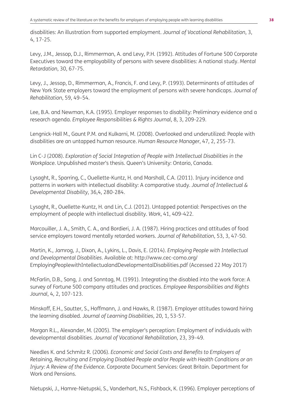disabilities: An illustration from supported employment. *Journal of Vocational Rehabilitation*, 3, 4, 17-25.

Levy, J.M., Jessop, D.J., Rimmerman, A. and Levy, P.H. (1992). Attitudes of Fortune 500 Corporate Executives toward the employability of persons with severe disabilities: A national study. *Mental Retardation*, 30, 67-75.

Levy, J., Jessop, D., Rimmerman, A., Francis, F. and Levy, P. (1993). Determinants of attitudes of New York State employers toward the employment of persons with severe handicaps. *Journal of Rehabilitation*, 59, 49–54.

Lee, B.A. and Newman, K.A. (1995). Employer responses to disability: Preliminary evidence and a research agenda. *Employee Responsibilities & Rights Journal*, 8, 3, 209-229.

Lengnick-Hall M., Gaunt P.M. and Kulkarni, M. (2008). Overlooked and underutilized: People with disabilities are an untapped human resource. *Human Resource Manager*, 47, 2, 255-73.

Lin C-J (2008). *Exploration of Social Integration of People with Intellectual Disabilities in the Workplace*. Unpublished master's thesis. Queen's University: Ontario, Canada.

Lysaght, R., Sparring, C., Ouellette-Kuntz, H. and Marshall, C.A. (2011). Injury incidence and patterns in workers with intellectual disability: A comparative study. *Journal of Intellectual & Developmental Disability*, 36,4, 280-284.

Lysaght, R., Ouellette-Kuntz, H. and Lin, C.J. (2012). Untapped potential: Perspectives on the employment of people with intellectual disability. *Work*, 41, 409-422.

Marcouiller, J. A., Smith, C. A., and Bordieri, J. A. (1987). Hiring practices and attitudes of food service employers toward mentally retarded workers. *Journal of Rehabilitation*, 53, 3, 47-50.

Martin, K., Jamrog, J., Dixon, A., Lykins, L., Davis, E. (2014). *Employing People with Intellectual and Developmental Disabilities*. Available at: http://www.cec-como.org/ EmployingPeoplewithIntellectualandDevelopmentalDisabilities.pdf (Accessed 22 May 2017)

McFarlin, D.B., Song, J. and Sonntag, M. (1991). Integrating the disabled into the work force: A survey of Fortune 500 company attitudes and practices. *Employee Responsibilities and Rights Journal*, 4, 2, 107-123.

Minskoff, E.H., Sautter, S., Hoffmann, J. and Hawks, R. (1987). Employer attitudes toward hiring the learning disabled. *Journal of Learning Disabilities*, 20, 1, 53-57.

Morgan R.L., Alexander, M. (2005). The employer's perception: Employment of individuals with developmental disabilities. *Journal of Vocational Rehabilitation*, 23, 39–49.

Needles K. and Schmitz R. (2006). *Economic and Social Costs and Benefits to Employers of Retaining, Recruiting and Employing Disabled People and/or People with Health Conditions or an Injury: A Review of the Evidence*. Corporate Document Services: Great Britain. Department for Work and Pensions.

Nietupski, J., Hamre-Nietupski, S., Vanderhart, N.S., Fishback, K. (1996). Employer perceptions of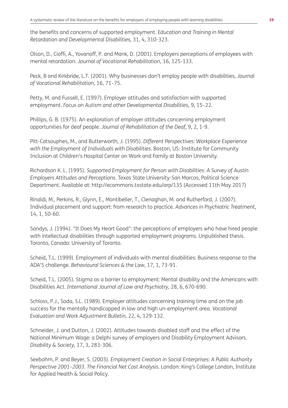the benefits and concerns of supported employment. *Education and Training in Mental Retardation and Developmental Disabilities*, 31, 4, 310-323.

Olson, D., Cioffi, A., Yovanoff, P. and Mank, D. (2001). Employers perceptions of employees with mental retardation. *Journal of Vocational Rehabilitation*, 16, 125-133.

Peck, B and Kirkbride, L.T. (2001). Why businesses don't employ people with disabilities, *Journal of Vocational Rehabilitation*, 16, 71–75.

Petty, M. and Fussell, E. (1997). Employer attitudes and satisfaction with supported employment. *Focus on Autism and other Developmental Disabilities*, 9, 15–22.

Phillips, G. B. (1975). An exploration of employer attitudes concerning employment opportunities for deaf people. *Journal of Rehabilitation of the Deaf*, 9, 2, 1-9.

Pitt-Catsouphes, M., and Butterworth, J. (1995). *Different Perspectives: Workplace Experience with the Employment of Individuals with Disabilities.* Boston, US: Institute for Community Inclusion at Children's Hospital Center on Work and Family at Boston University.

Richardson K. L. (1995). *Supported Employment for Person with Disabilities: A Survey of Austin Employers Attitudes and Perceptions*. Texas State University-San Marcos, Political Science Department. Available at: http://ecommons.txstate.edu/arp/135 (Accessed 11th May 2017)

Rinaldi, M., Perkins, R., Glynn, E., Montibeller, T., Clenaghan, M. and Rutherford, J. (2007). Individual placement and support: from research to practice. *Advances in Psychiatric Treatment*, 14, 1, 50-60.

Sandys, J. (1994). "It Does My Heart Good": the perceptions of employers who have hired people with intellectual disabilities through supported employment programs. Unpublished thesis. Toronto, Canada: University of Toronto.

Scheid, T.L. (1999). Employment of individuals with mental disabilities: Business response to the ADA'S challenge. *Behavioural Sciences & the Law*, 17, 1, 73-91.

Scheid, T.L. (2005). Stigma as a barrier to employment: Mental disability and the Americans with Disabilities Act. *International Journal of Law and Psychiatry*, 28, 6, 670-690.

Schloss, P.J., Soda, S.L. (1989). Employer attitudes concerning training time and on the job success for the mentally handicapped in low and high un-employment area. *Vocational Evaluation and Work Adjustment Bulletin*, 22, 4, 129-132.

Schneider, J. and Dutton, J. (2002). Attitudes towards disabled staff and the effect of the National Minimum Wage: a Delphi survey of employers and Disability Employment Advisors. *Disability & Society*, 17, 3, 283-306.

Seebohm, P. and Beyer, S. (2003). *Employment Creation in Social Enterprises: A Public Authority Perspective 2001–2003. The Financial Net Cost Analysis*. London: King's College London, Institute for Applied Health & Social Policy.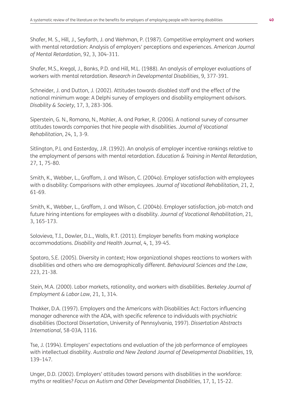Shafer, M. S., Hill, J., Seyfarth, J. and Wehman, P. (1987). Competitive employment and workers with mental retardation: Analysis of employers' perceptions and experiences. *American Journal of Mental Retardation*, 92, 3, 304-311.

Shafer, M.S., Kregal, J., Banks, P.D. and Hill, M.L. (1988). An analysis of employer evaluations of workers with mental retardation. *Research in Developmental Disabilities*, 9, 377-391.

Schneider, J. and Dutton, J. (2002). Attitudes towards disabled staff and the effect of the national minimum wage: A Delphi survey of employers and disability employment advisors. *Disability & Society*, 17, 3, 283-306.

Siperstein, G. N., Romano, N., Mohler, A. and Parker, R. (2006). A national survey of consumer attitudes towards companies that hire people with disabilities. *Journal of Vocational Rehabilitation*, 24, 1, 3-9.

Sitlington, P.L and Easterday, J.R. (1992). An analysis of employer incentive rankings relative to the employment of persons with mental retardation. *Education & Training in Mental Retardation*, 27, 1, 75-80.

Smith, K., Webber, L., Graffam, J. and Wilson, C. (2004a). Employer satisfaction with employees with a disability: Comparisons with other employees. *Journal of Vocational Rehabilitation*, 21, 2, 61-69.

Smith, K., Webber, L., Graffam, J. and Wilson, C. (2004b). Employer satisfaction, job-match and future hiring intentions for employees with a disability. *Journal of Vocational Rehabilitation*, 21, 3, 165-173.

Solovieva, T.I., Dowler, D.L., Walls, R.T. (2011). Employer benefits from making workplace accommodations. *Disability and Health Journal*, 4, 1, 39-45.

Spataro, S.E. (2005). Diversity in context; How organizational shapes reactions to workers with disabilities and others who are demographically different. *Behavioural Sciences and the Law*, 223, 21-38.

Stein, M.A. (2000). Labor markets, rationality, and workers with disabilities. *Berkeley Journal of Employment & Labor Law*, 21, 1, 314.

Thakker, D.A. (1997). Employers and the Americans with Disabilities Act: Factors influencing manager adherence with the ADA, with specific reference to individuals with psychiatric disabilities (Doctoral Dissertation, University of Pennsylvania, 1997). *Dissertation Abstracts International*, 58-03A, 1116.

Tse, J. (1994). Employers' expectations and evaluation of the job performance of employees with intellectual disability. *Australia and New Zealand Journal of Developmental Disabilities*, 19, 139–147.

Unger, D.D. (2002). Employers' attitudes toward persons with disabilities in the workforce: myths or realities? *Focus on Autism and Other Developmental Disabilities*, 17, 1, 15-22.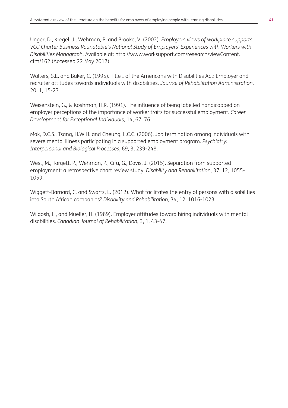Unger, D., Kregel, J., Wehman, P. and Brooke, V. (2002). *Employers views of workplace supports: VCU Charter Business Roundtable's National Study of Employers' Experiences with Workers with Disabilities Monograph*. Available at: http://www.worksupport.com/research/viewContent. cfm/162 (Accessed 22 May 2017)

Walters, S.E. and Baker, C. (1995). Title I of the Americans with Disabilities Act: Employer and recruiter attitudes towards individuals with disabilities. *Journal of Rehabilitation Administration*, 20, 1, 15-23.

Weisenstein, G., & Koshman, H.R. (1991). The influence of being labelled handicapped on employer perceptions of the importance of worker traits for successful employment. *Career Development for Exceptional Individuals*, 14, 67–76.

Mak, D.C.S., Tsang, H.W.H. and Cheung, L.C.C. (2006). Job termination among individuals with severe mental illness participating in a supported employment program. *Psychiatry: Interpersonal and Biological Processes*, 69, 3, 239-248.

West, M., Targett, P., Wehman, P., Cifu, G., Davis, J. (2015). Separation from supported employment: a retrospective chart review study. *Disability and Rehabilitation*, 37, 12, 1055- 1059.

Wiggett-Barnard, C. and Swartz, L. (2012). What facilitates the entry of persons with disabilities into South African companies? *Disability and Rehabilitation*, 34, 12, 1016-1023.

Wilgosh, L., and Mueller, H. (1989). Employer attitudes toward hiring individuals with mental disabilities. *Canadian Journal of Rehabilitation*, 3, 1, 43-47.